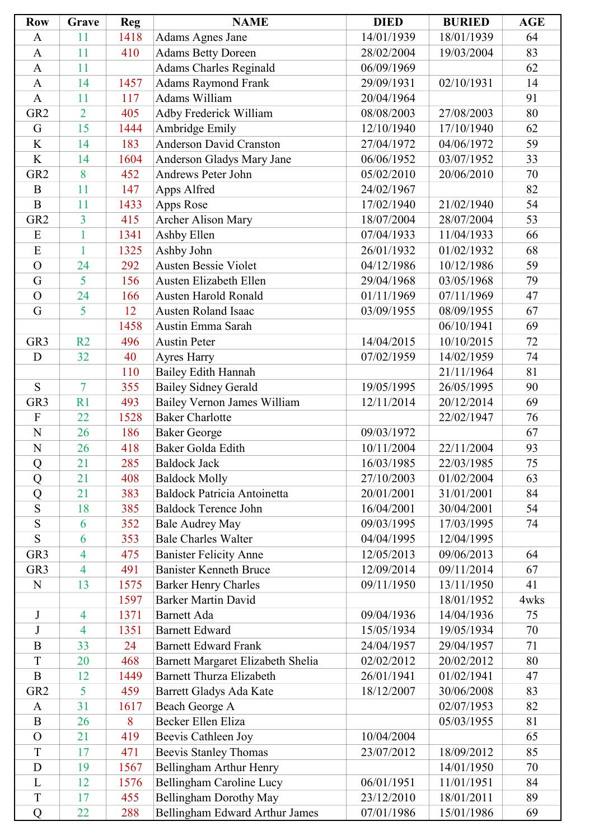| <b>Row</b>                | Grave                    | <b>Reg</b> | <b>NAME</b>                        | <b>DIED</b> | <b>BURIED</b> | <b>AGE</b> |
|---------------------------|--------------------------|------------|------------------------------------|-------------|---------------|------------|
| $\mathbf{A}$              | 11                       | 1418       | Adams Agnes Jane                   | 14/01/1939  | 18/01/1939    | 64         |
| $\mathbf{A}$              | 11                       | 410        | <b>Adams Betty Doreen</b>          | 28/02/2004  | 19/03/2004    | 83         |
| $\mathbf{A}$              | 11                       |            | <b>Adams Charles Reginald</b>      | 06/09/1969  |               | 62         |
| $\mathbf{A}$              | 14                       | 1457       | <b>Adams Raymond Frank</b>         | 29/09/1931  | 02/10/1931    | 14         |
| $\boldsymbol{\rm{A}}$     | 11                       | 117        | Adams William                      | 20/04/1964  |               | 91         |
| GR <sub>2</sub>           | $\overline{2}$           | 405        | Adby Frederick William             | 08/08/2003  | 27/08/2003    | 80         |
| G                         | 15                       | 1444       | Ambridge Emily                     | 12/10/1940  | 17/10/1940    | 62         |
| K                         | 14                       | 183        | <b>Anderson David Cranston</b>     | 27/04/1972  | 04/06/1972    | 59         |
| K                         | 14                       | 1604       | Anderson Gladys Mary Jane          | 06/06/1952  | 03/07/1952    | 33         |
| GR <sub>2</sub>           | 8                        | 452        | Andrews Peter John                 | 05/02/2010  | 20/06/2010    | 70         |
| B                         | 11                       | 147        | Apps Alfred                        | 24/02/1967  |               | 82         |
| $\overline{B}$            | 11                       | 1433       | Apps Rose                          | 17/02/1940  | 21/02/1940    | 54         |
| GR <sub>2</sub>           | 3                        | 415        | <b>Archer Alison Mary</b>          | 18/07/2004  | 28/07/2004    | 53         |
| ${\bf E}$                 | 1                        | 1341       | Ashby Ellen                        | 07/04/1933  | 11/04/1933    | 66         |
| E                         | 1                        | 1325       | Ashby John                         | 26/01/1932  | 01/02/1932    | 68         |
| $\overline{O}$            | 24                       | 292        | <b>Austen Bessie Violet</b>        | 04/12/1986  | 10/12/1986    | 59         |
| G                         | 5                        | 156        | Austen Elizabeth Ellen             | 29/04/1968  | 03/05/1968    | 79         |
| $\overline{O}$            | 24                       | 166        | Austen Harold Ronald               | 01/11/1969  | 07/11/1969    | 47         |
| G                         | 5                        | 12         | <b>Austen Roland Isaac</b>         | 03/09/1955  | 08/09/1955    | 67         |
|                           |                          | 1458       | Austin Emma Sarah                  |             | 06/10/1941    | 69         |
| GR <sub>3</sub>           | R2                       | 496        | <b>Austin Peter</b>                | 14/04/2015  | 10/10/2015    | 72         |
| D                         | 32                       | 40         | Ayres Harry                        | 07/02/1959  | 14/02/1959    | 74         |
|                           |                          | 110        | Bailey Edith Hannah                |             | 21/11/1964    | 81         |
| S                         | $\overline{7}$           | 355        | <b>Bailey Sidney Gerald</b>        | 19/05/1995  | 26/05/1995    | 90         |
| GR <sub>3</sub>           | R1                       | 493        | Bailey Vernon James William        | 12/11/2014  | 20/12/2014    | 69         |
| $\boldsymbol{\mathrm{F}}$ | 22                       | 1528       | <b>Baker Charlotte</b>             |             | 22/02/1947    | 76         |
| $\overline{N}$            | 26                       | 186        | <b>Baker George</b>                | 09/03/1972  |               | 67         |
| $\overline{N}$            | 26                       | 418        | Baker Golda Edith                  | 10/11/2004  | 22/11/2004    | 93         |
| Q                         | 21                       | 285        | <b>Baldock Jack</b>                | 16/03/1985  | 22/03/1985    | 75         |
| Q                         | 21                       | 408        | <b>Baldock Molly</b>               | 27/10/2003  | 01/02/2004    | 63         |
| Q                         | 21                       | 383        | <b>Baldock Patricia Antoinetta</b> | 20/01/2001  | 31/01/2001    | 84         |
| S                         | 18                       | 385        | <b>Baldock Terence John</b>        | 16/04/2001  | 30/04/2001    | 54         |
| S                         | 6                        | 352        | <b>Bale Audrey May</b>             | 09/03/1995  | 17/03/1995    | 74         |
| S                         | 6                        | 353        | <b>Bale Charles Walter</b>         | 04/04/1995  | 12/04/1995    |            |
| GR <sub>3</sub>           | 4                        | 475        | <b>Banister Felicity Anne</b>      | 12/05/2013  | 09/06/2013    | 64         |
| GR <sub>3</sub>           | $\overline{4}$           | 491        | <b>Banister Kenneth Bruce</b>      | 12/09/2014  | 09/11/2014    | 67         |
| $\mathbf N$               | 13                       | 1575       | <b>Barker Henry Charles</b>        | 09/11/1950  | 13/11/1950    | 41         |
|                           |                          | 1597       | <b>Barker Martin David</b>         |             | 18/01/1952    | 4wks       |
| J                         | 4                        | 1371       | <b>Barnett Ada</b>                 | 09/04/1936  | 14/04/1936    | 75         |
| $\bf J$                   | $\overline{\mathcal{A}}$ | 1351       | <b>Barnett Edward</b>              | 15/05/1934  | 19/05/1934    | 70         |
| $\mathbf B$               | 33                       | 24         | <b>Barnett Edward Frank</b>        | 24/04/1957  | 29/04/1957    | 71         |
| T                         | 20                       | 468        | Barnett Margaret Elizabeth Shelia  | 02/02/2012  | 20/02/2012    | 80         |
| $\overline{B}$            | 12                       | 1449       | <b>Barnett Thurza Elizabeth</b>    | 26/01/1941  | 01/02/1941    | 47         |
| GR <sub>2</sub>           | 5                        | 459        | Barrett Gladys Ada Kate            | 18/12/2007  | 30/06/2008    | 83         |
| $\mathbf{A}$              | 31                       | 1617       | Beach George A                     |             | 02/07/1953    | 82         |
| $\boldsymbol{B}$          | 26                       | 8          | Becker Ellen Eliza                 |             | 05/03/1955    | 81         |
| $\overline{O}$            | 21                       | 419        | Beevis Cathleen Joy                | 10/04/2004  |               | 65         |
| T                         | 17                       | 471        | <b>Beevis Stanley Thomas</b>       | 23/07/2012  | 18/09/2012    | 85         |
| D                         | 19                       | 1567       | Bellingham Arthur Henry            |             | 14/01/1950    | 70         |
| L                         | 12                       | 1576       | Bellingham Caroline Lucy           | 06/01/1951  | 11/01/1951    | 84         |
| $\mathbf T$               | 17                       | 455        | Bellingham Dorothy May             | 23/12/2010  | 18/01/2011    | 89         |
| $\overline{Q}$            | 22                       | 288        | Bellingham Edward Arthur James     | 07/01/1986  | 15/01/1986    | 69         |
|                           |                          |            |                                    |             |               |            |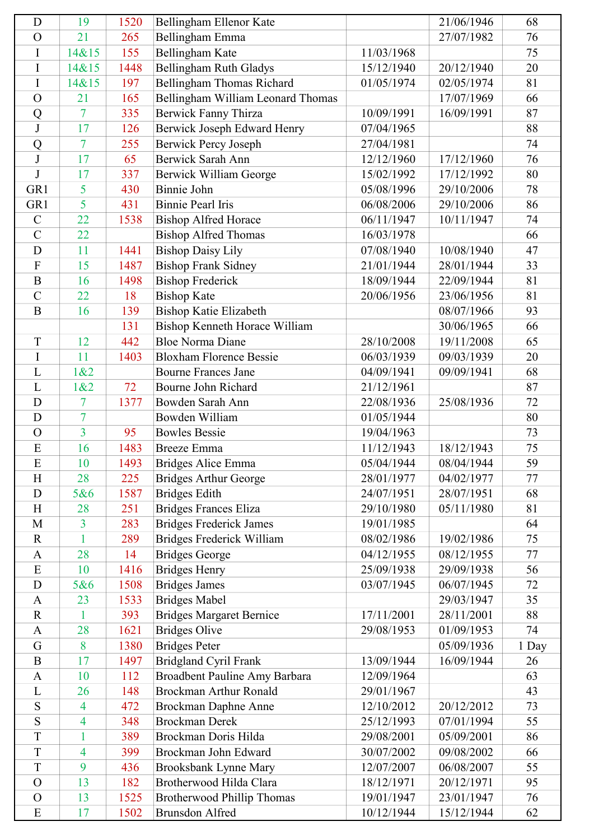| D              | 19             | 1520 | Bellingham Ellenor Kate           |            | 21/06/1946 | 68    |
|----------------|----------------|------|-----------------------------------|------------|------------|-------|
| $\mathcal{O}$  | 21             | 265  | Bellingham Emma                   |            | 27/07/1982 | 76    |
| I              | 14&15          | 155  | Bellingham Kate                   | 11/03/1968 |            | 75    |
| I              | 14&15          | 1448 | Bellingham Ruth Gladys            | 15/12/1940 | 20/12/1940 | 20    |
| I              | 14&15          | 197  | Bellingham Thomas Richard         | 01/05/1974 | 02/05/1974 | 81    |
| $\overline{O}$ | 21             | 165  | Bellingham William Leonard Thomas |            | 17/07/1969 | 66    |
| Q              | $\overline{7}$ | 335  | Berwick Fanny Thirza              | 10/09/1991 | 16/09/1991 | 87    |
| $\bf J$        | 17             | 126  | Berwick Joseph Edward Henry       | 07/04/1965 |            | 88    |
| Q              | $\overline{7}$ | 255  | <b>Berwick Percy Joseph</b>       | 27/04/1981 |            | 74    |
| J              | 17             | 65   | Berwick Sarah Ann                 | 12/12/1960 | 17/12/1960 | 76    |
| J              | 17             | 337  | Berwick William George            | 15/02/1992 | 17/12/1992 | 80    |
| GR1            | 5              | 430  | Binnie John                       | 05/08/1996 | 29/10/2006 | 78    |
| GR1            | 5              | 431  | <b>Binnie Pearl Iris</b>          | 06/08/2006 | 29/10/2006 | 86    |
| $\mathcal{C}$  | 22             | 1538 | <b>Bishop Alfred Horace</b>       | 06/11/1947 | 10/11/1947 | 74    |
| $\overline{C}$ | 22             |      | <b>Bishop Alfred Thomas</b>       | 16/03/1978 |            | 66    |
| D              | 11             | 1441 | <b>Bishop Daisy Lily</b>          | 07/08/1940 | 10/08/1940 | 47    |
| $\mathbf F$    | 15             | 1487 | <b>Bishop Frank Sidney</b>        | 21/01/1944 | 28/01/1944 | 33    |
| $\overline{B}$ | 16             | 1498 | <b>Bishop Frederick</b>           | 18/09/1944 | 22/09/1944 | 81    |
| $\mathcal{C}$  | 22             | 18   | <b>Bishop Kate</b>                | 20/06/1956 | 23/06/1956 | 81    |
| $\overline{B}$ | 16             | 139  | <b>Bishop Katie Elizabeth</b>     |            | 08/07/1966 | 93    |
|                |                | 131  | Bishop Kenneth Horace William     |            | 30/06/1965 | 66    |
| T              | 12             | 442  | <b>Bloe Norma Diane</b>           | 28/10/2008 | 19/11/2008 | 65    |
| I              | 11             | 1403 | <b>Bloxham Florence Bessie</b>    | 06/03/1939 | 09/03/1939 | 20    |
| L              | 1&2            |      | <b>Bourne Frances Jane</b>        | 04/09/1941 | 09/09/1941 | 68    |
| L              | 1&82           | 72   | Bourne John Richard               | 21/12/1961 |            | 87    |
| D              | 7              | 1377 | Bowden Sarah Ann                  | 22/08/1936 | 25/08/1936 | 72    |
| D              | 7              |      | Bowden William                    | 01/05/1944 |            | 80    |
| $\mathbf O$    | $\overline{3}$ | 95   | <b>Bowles Bessie</b>              | 19/04/1963 |            | 73    |
| E              | 16             | 1483 | <b>Breeze</b> Emma                | 11/12/1943 | 18/12/1943 | 75    |
| E              | 10             | 1493 | <b>Bridges Alice Emma</b>         | 05/04/1944 |            | 59    |
| H              | 28             | 225  | <b>Bridges Arthur George</b>      | 28/01/1977 | 04/02/1977 | 77    |
| D              | 5&6            | 1587 | <b>Bridges Edith</b>              | 24/07/1951 | 28/07/1951 | 68    |
| H              | 28             | 251  | <b>Bridges Frances Eliza</b>      | 29/10/1980 | 05/11/1980 | 81    |
| M              | 3              | 283  | <b>Bridges Frederick James</b>    | 19/01/1985 |            | 64    |
| $\mathbf R$    | 1              | 289  | Bridges Frederick William         | 08/02/1986 | 19/02/1986 | 75    |
| $\mathbf{A}$   | 28             | 14   | <b>Bridges George</b>             | 04/12/1955 | 08/12/1955 | 77    |
| E              | 10             | 1416 | <b>Bridges Henry</b>              | 25/09/1938 | 29/09/1938 | 56    |
| D              | 5&6            | 1508 | <b>Bridges James</b>              | 03/07/1945 | 06/07/1945 | 72    |
| $\mathbf{A}$   | 23             | 1533 | <b>Bridges Mabel</b>              |            | 29/03/1947 | 35    |
| $\mathbf R$    | 1              | 393  | <b>Bridges Margaret Bernice</b>   | 17/11/2001 | 28/11/2001 | 88    |
| $\mathbf{A}$   | 28             | 1621 | <b>Bridges Olive</b>              | 29/08/1953 | 01/09/1953 | 74    |
| G              | 8              | 1380 | <b>Bridges Peter</b>              |            | 05/09/1936 | 1 Day |
| $\overline{B}$ | 17             | 1497 | <b>Bridgland Cyril Frank</b>      | 13/09/1944 | 16/09/1944 | 26    |
| $\mathbf{A}$   | 10             | 112  | Broadbent Pauline Amy Barbara     | 12/09/1964 |            | 63    |
| L              | 26             | 148  | <b>Brockman Arthur Ronald</b>     | 29/01/1967 |            | 43    |
| S              | $\overline{4}$ | 472  | Brockman Daphne Anne              | 12/10/2012 | 20/12/2012 | 73    |
| S              | 4              | 348  | <b>Brockman Derek</b>             | 25/12/1993 | 07/01/1994 | 55    |
| T              | $\mathbf{1}$   | 389  | Brockman Doris Hilda              | 29/08/2001 | 05/09/2001 | 86    |
| T              | $\overline{4}$ | 399  | Brockman John Edward              | 30/07/2002 | 09/08/2002 | 66    |
| T              | 9              | 436  | Brooksbank Lynne Mary             | 12/07/2007 | 06/08/2007 | 55    |
| $\mathbf O$    | 13             | 182  | Brotherwood Hilda Clara           | 18/12/1971 | 20/12/1971 | 95    |
| $\Omega$       | 13             | 1525 | Brotherwood Phillip Thomas        | 19/01/1947 | 23/01/1947 | 76    |
| E              | 17             | 1502 | <b>Brunsdon Alfred</b>            | 10/12/1944 | 15/12/1944 | 62    |
|                |                |      |                                   |            |            |       |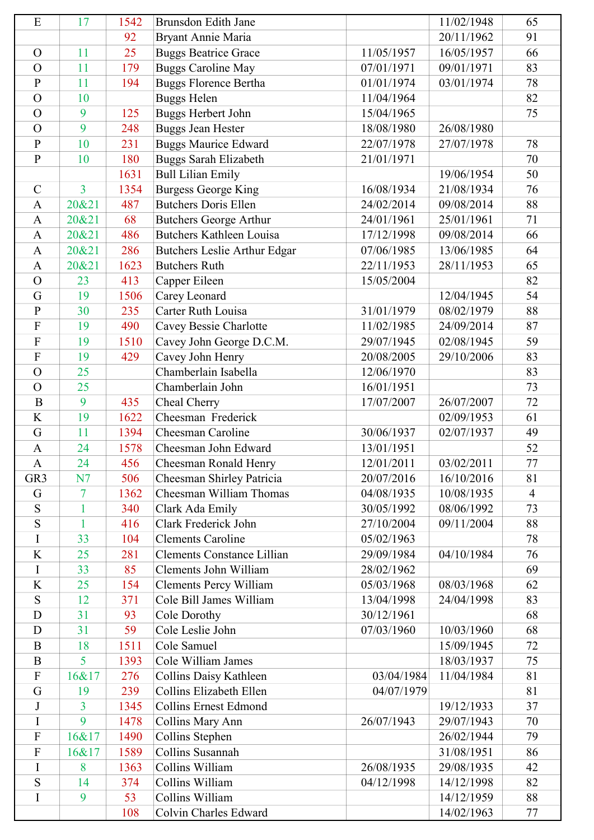| E                          | 17             | 1542         | Brunsdon Edith Jane                                  |                          | 11/02/1948               | 65             |
|----------------------------|----------------|--------------|------------------------------------------------------|--------------------------|--------------------------|----------------|
|                            |                | 92           | Bryant Annie Maria                                   |                          | 20/11/1962               | 91             |
| $\Omega$                   | 11             | 25           | <b>Buggs Beatrice Grace</b>                          | 11/05/1957               | 16/05/1957               | 66             |
| $\Omega$                   | 11             | 179          | <b>Buggs Caroline May</b>                            | 07/01/1971               | 09/01/1971               | 83             |
| $\mathbf{P}$               | 11             | 194          | <b>Buggs Florence Bertha</b>                         | 01/01/1974               | 03/01/1974               | 78             |
| $\overline{O}$             | 10             |              | <b>Buggs Helen</b>                                   | 11/04/1964               |                          | 82             |
| $\overline{O}$             | 9              | 125          | <b>Buggs Herbert John</b>                            | 15/04/1965               |                          | 75             |
| $\Omega$                   | 9              | 248          | <b>Buggs Jean Hester</b>                             | 18/08/1980               | 26/08/1980               |                |
| $\overline{P}$             | 10             | 231          | <b>Buggs Maurice Edward</b>                          | 22/07/1978               | 27/07/1978               | 78             |
| $\mathbf{P}$               | 10             | 180          | <b>Buggs Sarah Elizabeth</b>                         | 21/01/1971               |                          | 70             |
|                            |                | 1631         | <b>Bull Lilian Emily</b>                             |                          | 19/06/1954               | 50             |
| $\mathcal{C}$              | $\overline{3}$ | 1354         | <b>Burgess George King</b>                           | 16/08/1934               | 21/08/1934               | 76             |
| $\mathbf{A}$               | 20&21          | 487          | <b>Butchers Doris Ellen</b>                          | 24/02/2014               | 09/08/2014               | 88             |
| $\mathbf{A}$               | 20&21          | 68           | <b>Butchers George Arthur</b>                        | 24/01/1961               | 25/01/1961               | 71             |
| $\mathbf{A}$               | 20&21          | 486          | <b>Butchers Kathleen Louisa</b>                      | 17/12/1998               | 09/08/2014               | 66             |
| $\mathbf{A}$               | 20&21          | 286          | Butchers Leslie Arthur Edgar                         | 07/06/1985               | 13/06/1985               | 64             |
| $\mathbf{A}$               | 20&21          | 1623         | <b>Butchers Ruth</b>                                 | 22/11/1953               | 28/11/1953               | 65             |
| $\overline{O}$             | 23             | 413          | Capper Eileen                                        | 15/05/2004               |                          | 82             |
| G                          | 19             | 1506         | Carey Leonard                                        |                          | 12/04/1945               | 54             |
| $\mathbf{P}$               | 30             | 235          | Carter Ruth Louisa                                   | 31/01/1979               | 08/02/1979               | 88             |
| ${\bf F}$                  | 19             | 490          | Cavey Bessie Charlotte                               | 11/02/1985               | 24/09/2014               | 87             |
| $\overline{F}$             | 19             | 1510         | Cavey John George D.C.M.                             | 29/07/1945               | 02/08/1945               | 59             |
| ${\bf F}$                  | 19             | 429          | Cavey John Henry                                     | 20/08/2005               | 29/10/2006               | 83             |
| $\overline{O}$             | 25             |              | Chamberlain Isabella                                 | 12/06/1970               |                          | 83             |
| $\Omega$                   | 25             |              | Chamberlain John                                     | 16/01/1951               |                          | 73             |
| $\bf{B}$                   | 9              | 435          |                                                      | 17/07/2007               | 26/07/2007               | 72             |
| K                          | 19             | 1622         | Cheal Cherry<br>Cheesman Frederick                   |                          | 02/09/1953               | 61             |
| G                          | 11             | 1394         | Cheesman Caroline                                    | 30/06/1937               | 02/07/1937               | 49             |
| $\mathbf{A}$               | 24             | 1578         | Cheesman John Edward                                 | 13/01/1951               |                          | 52             |
|                            | 24             | 456          | Cheesman Ronald Henry                                | 12/01/2011               | 03/02/2011               | 77             |
| A<br>GR <sub>3</sub>       | N7             | 506          |                                                      | 20/07/2016               | 16/10/2016               | 81             |
|                            |                |              | Cheesman Shirley Patricia<br>Cheesman William Thomas |                          |                          | $\overline{4}$ |
| G<br>S                     | 7              | 1362         |                                                      | 04/08/1935               | 10/08/1935               | 73             |
| S                          | 1              | 340          | Clark Ada Emily<br>Clark Frederick John              | 30/05/1992<br>27/10/2004 | 08/06/1992               |                |
| I                          | 1<br>33        | 416          | <b>Clements Caroline</b>                             |                          | 09/11/2004               | 88<br>78       |
|                            |                | 104          |                                                      | 05/02/1963               |                          |                |
| K                          | 25             | 281          | <b>Clements Constance Lillian</b>                    | 29/09/1984               | 04/10/1984               | 76             |
| I                          | 33             | 85           | Clements John William                                | 28/02/1962               |                          | 69             |
| K                          | 25             | 154          | <b>Clements Percy William</b>                        | 05/03/1968               | 08/03/1968               | 62             |
| ${\bf S}$                  | 12             | 371          | Cole Bill James William                              | 13/04/1998               | 24/04/1998               | 83             |
| D                          | 31             | 93           | Cole Dorothy                                         | 30/12/1961               |                          | 68             |
| D                          | 31             | 59           | Cole Leslie John                                     | 07/03/1960               | 10/03/1960               | 68             |
| $\mathbf B$                | 18             | 1511         | Cole Samuel                                          |                          | 15/09/1945               | 72             |
| $\mathbf B$<br>$\mathbf F$ | 5              | 1393         | Cole William James                                   |                          | 18/03/1937               | 75             |
|                            | 16&17          | 276          | Collins Daisy Kathleen                               | 03/04/1984               | 11/04/1984               | 81             |
| G                          | 19             | 239          | Collins Elizabeth Ellen                              | 04/07/1979               |                          | 81             |
| J<br>I                     | 3<br>9         | 1345<br>1478 | <b>Collins Ernest Edmond</b>                         | 26/07/1943               | 19/12/1933<br>29/07/1943 | 37<br>70       |
| $\mathbf F$                |                |              | Collins Mary Ann                                     |                          |                          |                |
|                            | 16&17          | 1490         | Collins Stephen<br>Collins Susannah                  |                          | 26/02/1944               | 79             |
| ${\bf F}$                  | 16&17          | 1589         |                                                      |                          | 31/08/1951               | 86             |
| I                          | 8              | 1363         | Collins William                                      | 26/08/1935               | 29/08/1935               | 42             |
| S                          | 14             | 374          | Collins William                                      | 04/12/1998               | 14/12/1998               | 82             |
| I                          | 9              | 53           | Collins William                                      |                          | 14/12/1959               | 88             |
|                            |                | 108          | Colvin Charles Edward                                |                          | 14/02/1963               | 77             |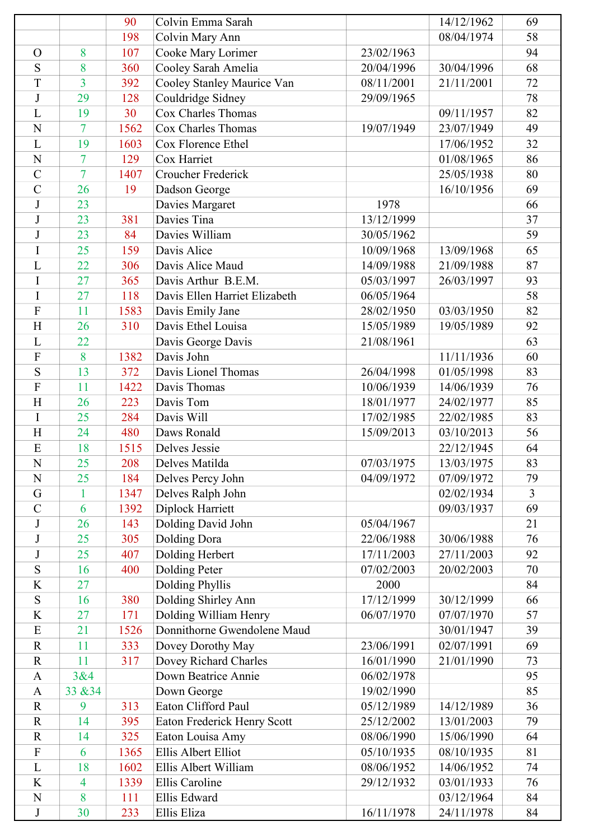|                |                | 90   | Colvin Emma Sarah             |            | 14/12/1962 | 69             |
|----------------|----------------|------|-------------------------------|------------|------------|----------------|
|                |                | 198  | Colvin Mary Ann               |            | 08/04/1974 | 58             |
| $\Omega$       | 8              | 107  | Cooke Mary Lorimer            | 23/02/1963 |            | 94             |
| S              | 8              | 360  | Cooley Sarah Amelia           | 20/04/1996 | 30/04/1996 | 68             |
| T              | $\overline{3}$ | 392  | Cooley Stanley Maurice Van    | 08/11/2001 | 21/11/2001 | 72             |
| $\bf J$        | 29             | 128  | Couldridge Sidney             | 29/09/1965 |            | $78\,$         |
| L              | 19             | 30   | Cox Charles Thomas            |            | 09/11/1957 | 82             |
| N              | 7              | 1562 | Cox Charles Thomas            | 19/07/1949 | 23/07/1949 | 49             |
| L              | 19             | 1603 | Cox Florence Ethel            |            | 17/06/1952 | 32             |
| N              | 7              | 129  | Cox Harriet                   |            | 01/08/1965 | 86             |
| $\overline{C}$ | $\overline{7}$ | 1407 | Croucher Frederick            |            | 25/05/1938 | 80             |
| $\overline{C}$ | 26             | 19   | Dadson George                 |            | 16/10/1956 | 69             |
| $\mathbf{J}$   | 23             |      | Davies Margaret               | 1978       |            | 66             |
| J              | 23             | 381  | Davies Tina                   | 13/12/1999 |            | 37             |
| J              | 23             | 84   | Davies William                | 30/05/1962 |            | 59             |
| I              | 25             | 159  | Davis Alice                   | 10/09/1968 | 13/09/1968 | 65             |
| L              | 22             | 306  | Davis Alice Maud              | 14/09/1988 | 21/09/1988 | 87             |
| I              | 27             | 365  | Davis Arthur B.E.M.           | 05/03/1997 | 26/03/1997 | 93             |
| I              | 27             | 118  | Davis Ellen Harriet Elizabeth | 06/05/1964 |            | 58             |
| $\overline{F}$ | 11             | 1583 | Davis Emily Jane              | 28/02/1950 | 03/03/1950 | 82             |
| H              | 26             | 310  | Davis Ethel Louisa            | 15/05/1989 | 19/05/1989 | 92             |
| L              | 22             |      | Davis George Davis            | 21/08/1961 |            | 63             |
| $\mathbf{F}$   | 8              | 1382 | Davis John                    |            | 11/11/1936 | 60             |
| S              | 13             | 372  | Davis Lionel Thomas           | 26/04/1998 | 01/05/1998 | 83             |
| $\overline{F}$ | 11             | 1422 | Davis Thomas                  | 10/06/1939 | 14/06/1939 | 76             |
| H              | 26             | 223  | Davis Tom                     | 18/01/1977 | 24/02/1977 | 85             |
| I              | 25             | 284  | Davis Will                    | 17/02/1985 | 22/02/1985 | 83             |
| H              | 24             | 480  | Daws Ronald                   | 15/09/2013 | 03/10/2013 | 56             |
| E              | 18             | 1515 | Delves Jessie                 |            | 22/12/1945 | 64             |
| ${\bf N}$      | 25             | 208  | Delves Matilda                | 07/03/1975 | 13/03/1975 | 83             |
| N              | 25             | 184  | Delves Percy John             | 04/09/1972 | 07/09/1972 | 79             |
| G              |                | 1347 | Delves Ralph John             |            | 02/02/1934 | $\overline{3}$ |
| $\overline{C}$ | 6              | 1392 | Diplock Harriett              |            | 09/03/1937 | 69             |
| J              | 26             | 143  | Dolding David John            | 05/04/1967 |            | 21             |
| $\mathbf{J}$   | 25             | 305  | Dolding Dora                  | 22/06/1988 | 30/06/1988 | 76             |
| J              | 25             | 407  | Dolding Herbert               | 17/11/2003 | 27/11/2003 | 92             |
| S              | 16             | 400  | Dolding Peter                 | 07/02/2003 | 20/02/2003 | 70             |
| $\rm K$        | 27             |      | <b>Dolding Phyllis</b>        | 2000       |            | 84             |
| ${\bf S}$      | 16             | 380  | Dolding Shirley Ann           | 17/12/1999 | 30/12/1999 | 66             |
| K              | 27             | 171  | Dolding William Henry         | 06/07/1970 | 07/07/1970 | 57             |
| E              | 21             | 1526 | Donnithorne Gwendolene Maud   |            | 30/01/1947 | 39             |
| $\mathbf R$    | 11             | 333  | Dovey Dorothy May             | 23/06/1991 | 02/07/1991 | 69             |
| $\mathbf R$    | 11             | 317  | Dovey Richard Charles         | 16/01/1990 | 21/01/1990 | 73             |
| $\mathbf{A}$   | 3&4            |      | Down Beatrice Annie           | 06/02/1978 |            | 95             |
| $\mathbf{A}$   | 33 & 34        |      | Down George                   | 19/02/1990 |            | 85             |
| $\mathbf R$    | 9              | 313  | Eaton Clifford Paul           | 05/12/1989 | 14/12/1989 | 36             |
| $\mathbf R$    | 14             | 395  | Eaton Frederick Henry Scott   | 25/12/2002 | 13/01/2003 | 79             |
| $\mathbf R$    | 14             | 325  | Eaton Louisa Amy              | 08/06/1990 | 15/06/1990 | 64             |
| $\mathbf{F}$   | 6              | 1365 | Ellis Albert Elliot           | 05/10/1935 | 08/10/1935 | 81             |
| L              | 18             | 1602 | Ellis Albert William          | 08/06/1952 | 14/06/1952 | 74             |
| K              | 4              | 1339 | Ellis Caroline                | 29/12/1932 | 03/01/1933 | 76             |
| $\mathbf N$    | 8              | 111  | Ellis Edward                  |            | 03/12/1964 | 84             |
| $\bf J$        | 30             | 233  | Ellis Eliza                   | 16/11/1978 | 24/11/1978 | 84             |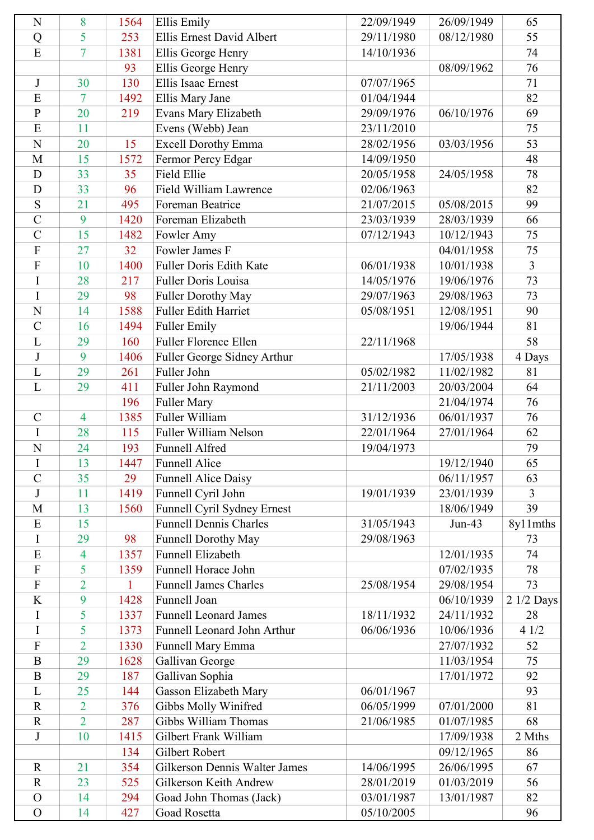| N                         | 8              | 1564        | <b>Ellis Emily</b>                             | 22/09/1949 | 26/09/1949               | 65             |
|---------------------------|----------------|-------------|------------------------------------------------|------------|--------------------------|----------------|
| Q                         | 5              | 253         | Ellis Ernest David Albert                      | 29/11/1980 | 08/12/1980               | 55             |
| E                         | $\overline{7}$ | 1381        | Ellis George Henry                             | 14/10/1936 |                          | 74             |
|                           |                | 93          | Ellis George Henry                             |            | 08/09/1962               | 76             |
| $\mathbf J$               | 30             | 130         | <b>Ellis Isaac Ernest</b>                      | 07/07/1965 |                          | 71             |
| E                         | 7              | 1492        | Ellis Mary Jane                                | 01/04/1944 |                          | 82             |
| $\overline{P}$            | 20             | 219         | Evans Mary Elizabeth                           | 29/09/1976 | 06/10/1976               | 69             |
| E                         | 11             |             | Evens (Webb) Jean                              | 23/11/2010 |                          | 75             |
| $\mathbf N$               | 20             | 15          | <b>Excell Dorothy Emma</b>                     | 28/02/1956 | 03/03/1956               | 53             |
| M                         | 15             | 1572        | Fermor Percy Edgar                             | 14/09/1950 |                          | 48             |
| $\mathbf D$               | 33             | 35          | <b>Field Ellie</b>                             | 20/05/1958 | 24/05/1958               | 78             |
| D                         | 33             | 96          | Field William Lawrence                         | 02/06/1963 |                          | 82             |
| S                         | 21             | 495         | Foreman Beatrice                               | 21/07/2015 | 05/08/2015               | 99             |
| $\overline{C}$            | 9              | 1420        | Foreman Elizabeth                              | 23/03/1939 | 28/03/1939               | 66             |
| $\overline{C}$            | 15             | 1482        | Fowler Amy                                     | 07/12/1943 | 10/12/1943               | 75             |
| ${\bf F}$                 | 27             | 32          | Fowler James F                                 |            | 04/01/1958               | 75             |
| $\overline{F}$            | 10             | 1400        | <b>Fuller Doris Edith Kate</b>                 | 06/01/1938 | 10/01/1938               | $\overline{3}$ |
| I                         | 28             | 217         | Fuller Doris Louisa                            | 14/05/1976 | 19/06/1976               | 73             |
| I                         | 29             | 98          | <b>Fuller Dorothy May</b>                      | 29/07/1963 | 29/08/1963               | 73             |
| N                         | 14             | 1588        | <b>Fuller Edith Harriet</b>                    | 05/08/1951 | 12/08/1951               | 90             |
| $\overline{C}$            | 16             | 1494        | <b>Fuller Emily</b>                            |            | 19/06/1944               | 81             |
| L                         | 29             | 160         | <b>Fuller Florence Ellen</b>                   | 22/11/1968 |                          | 58             |
| $\bf J$                   | 9              | 1406        |                                                |            | 17/05/1938               | 4 Days         |
| L                         | 29             | 261         | Fuller George Sidney Arthur<br>Fuller John     | 05/02/1982 | 11/02/1982               | 81             |
| L                         | 29             | 411         |                                                | 21/11/2003 | 20/03/2004               | 64             |
|                           |                |             | Fuller John Raymond                            |            |                          | 76             |
| $\mathcal{C}$             | $\overline{4}$ | 196<br>1385 | <b>Fuller Mary</b><br>Fuller William           | 31/12/1936 | 21/04/1974<br>06/01/1937 |                |
|                           | 28             |             |                                                | 22/01/1964 |                          | 76             |
| $\rm I$<br>$\overline{N}$ |                | 115         | <b>Fuller William Nelson</b><br>Funnell Alfred | 19/04/1973 | 27/01/1964               | 62             |
|                           | 24             | 193         |                                                |            |                          | 79             |
| $\mathbf I$               | 13             | 1447        | Funnell Alice                                  |            | 19/12/1940               | 65             |
| $\overline{C}$            | 35             | 29          | <b>Funnell Alice Daisy</b>                     |            | 06/11/1957               | 63             |
| J                         | 11             | 1419        | Funnell Cyril John                             | 19/01/1939 | 23/01/1939               | $\overline{3}$ |
| M                         | 13             | 1560        | Funnell Cyril Sydney Ernest                    |            | 18/06/1949               | 39             |
| E                         | 15             |             | <b>Funnell Dennis Charles</b>                  | 31/05/1943 | $Jun-43$                 | 8y11mths       |
| I                         | 29             | 98          | Funnell Dorothy May                            | 29/08/1963 |                          | 73             |
| E                         | 4              | 1357        | Funnell Elizabeth                              |            | 12/01/1935               | 74             |
| F                         | 5              | 1359        | Funnell Horace John                            |            | 07/02/1935               | 78             |
| $\overline{F}$            | $\overline{2}$ | 1           | <b>Funnell James Charles</b>                   | 25/08/1954 | 29/08/1954               | 73             |
| K                         | 9              | 1428        | Funnell Joan                                   |            | 06/10/1939               | 2 1/2 Days     |
| $\bf{I}$                  | 5              | 1337        | <b>Funnell Leonard James</b>                   | 18/11/1932 | 24/11/1932               | 28             |
| I                         | 5              | 1373        | Funnell Leonard John Arthur                    | 06/06/1936 | 10/06/1936               | 41/2           |
| $\boldsymbol{\mathrm{F}}$ | $\overline{2}$ | 1330        | Funnell Mary Emma                              |            | 27/07/1932               | 52             |
| $\bf{B}$                  | 29             | 1628        | Gallivan George                                |            | 11/03/1954               | 75             |
| $\mathbf B$               | 29             | 187         | Gallivan Sophia                                |            | 17/01/1972               | 92             |
| L                         | 25             | 144         | Gasson Elizabeth Mary                          | 06/01/1967 |                          | 93             |
| $\mathbf R$               | $\overline{2}$ | 376         | Gibbs Molly Winifred                           | 06/05/1999 | 07/01/2000               | 81             |
| $\mathbf R$               | $\overline{2}$ | 287         | Gibbs William Thomas                           | 21/06/1985 | 01/07/1985               | 68             |
| $\bf J$                   | 10             | 1415        | Gilbert Frank William                          |            | 17/09/1938               | 2 Mths         |
|                           |                | 134         | Gilbert Robert                                 |            | 09/12/1965               | 86             |
| $\mathbf R$               | 21             | 354         | Gilkerson Dennis Walter James                  | 14/06/1995 | 26/06/1995               | 67             |
| $\mathbf R$               | 23             | 525         | Gilkerson Keith Andrew                         | 28/01/2019 | 01/03/2019               | 56             |
| $\mathcal{O}$             | 14             | 294         | Goad John Thomas (Jack)                        | 03/01/1987 | 13/01/1987               | 82             |
| $\mathcal{O}$             | 14             | 427         | Goad Rosetta                                   | 05/10/2005 |                          | 96             |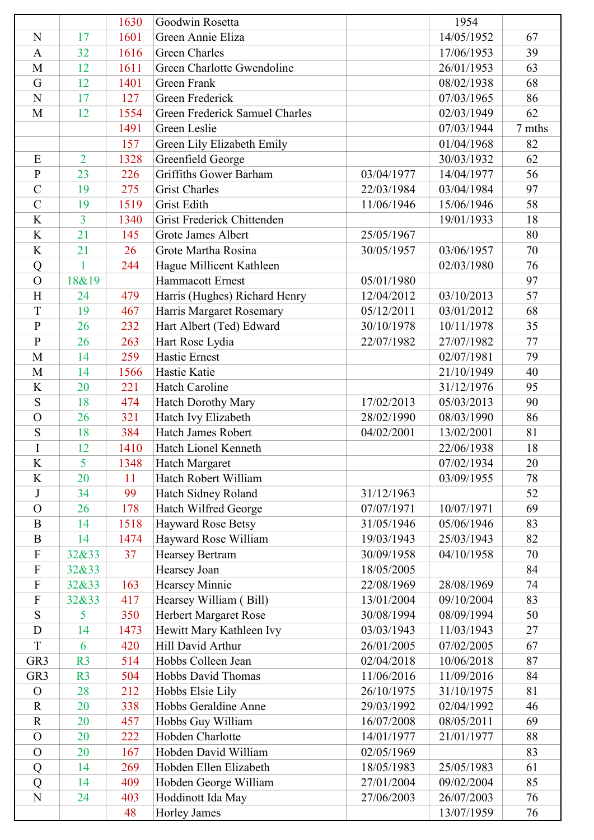|                     |                | 1630 | Goodwin Rosetta                |            | 1954       |        |
|---------------------|----------------|------|--------------------------------|------------|------------|--------|
| N                   | 17             | 1601 | Green Annie Eliza              |            | 14/05/1952 | 67     |
| $\mathbf{A}$        | 32             | 1616 | <b>Green Charles</b>           |            | 17/06/1953 | 39     |
| M                   | 12             | 1611 | Green Charlotte Gwendoline     |            | 26/01/1953 | 63     |
| G                   | 12             | 1401 | <b>Green Frank</b>             |            | 08/02/1938 | 68     |
| N                   | 17             | 127  | Green Frederick                |            | 07/03/1965 | 86     |
| M                   | 12             | 1554 | Green Frederick Samuel Charles |            | 02/03/1949 | 62     |
|                     |                | 1491 | Green Leslie                   |            | 07/03/1944 | 7 mths |
|                     |                | 157  | Green Lily Elizabeth Emily     |            | 01/04/1968 | 82     |
| E                   | $\overline{2}$ | 1328 | Greenfield George              |            | 30/03/1932 | 62     |
| $\mathbf{P}$        | 23             | 226  | Griffiths Gower Barham         | 03/04/1977 | 14/04/1977 | 56     |
| $\overline{C}$      | 19             | 275  | <b>Grist Charles</b>           | 22/03/1984 | 03/04/1984 | 97     |
| $\overline{C}$      | 19             | 1519 | <b>Grist Edith</b>             | 11/06/1946 | 15/06/1946 | 58     |
| K                   | $\overline{3}$ | 1340 | Grist Frederick Chittenden     |            | 19/01/1933 | 18     |
| K                   | 21             | 145  | Grote James Albert             | 25/05/1967 |            | 80     |
| K                   | 21             | 26   | Grote Martha Rosina            | 30/05/1957 | 03/06/1957 | 70     |
| Q                   | 1              | 244  | Hague Millicent Kathleen       |            | 02/03/1980 | 76     |
| $\mathcal{O}$       | 18&19          |      | Hammacott Ernest               | 05/01/1980 |            | 97     |
| H                   | 24             | 479  | Harris (Hughes) Richard Henry  | 12/04/2012 | 03/10/2013 | 57     |
| T                   | 19             | 467  | Harris Margaret Rosemary       | 05/12/2011 | 03/01/2012 | 68     |
| $\overline{P}$      | 26             | 232  | Hart Albert (Ted) Edward       | 30/10/1978 | 10/11/1978 | 35     |
| $\mathbf{P}$        | 26             | 263  | Hart Rose Lydia                | 22/07/1982 | 27/07/1982 | 77     |
| M                   | 14             | 259  | <b>Hastie Ernest</b>           |            | 02/07/1981 | 79     |
| M                   | 14             | 1566 | Hastie Katie                   |            | 21/10/1949 | 40     |
| K                   | 20             | 221  | Hatch Caroline                 |            | 31/12/1976 | 95     |
| ${\bf S}$           | 18             | 474  | <b>Hatch Dorothy Mary</b>      | 17/02/2013 | 05/03/2013 | 90     |
| $\mathcal{O}$       | 26             | 321  | Hatch Ivy Elizabeth            | 28/02/1990 | 08/03/1990 | 86     |
| S                   | 18             | 384  | Hatch James Robert             | 04/02/2001 | 13/02/2001 | 81     |
| $\bf I$             | 12             | 1410 | Hatch Lionel Kenneth           |            | 22/06/1938 | 18     |
| $\rm K$             | 5              | 1348 | Hatch Margaret                 |            | 07/02/1934 | 20     |
| K                   | 20             | 11   | Hatch Robert William           |            | 03/09/1955 | 78     |
| J                   | 34             | 99   | Hatch Sidney Roland            | 31/12/1963 |            | 52     |
| $\overline{O}$      | 26             | 178  | Hatch Wilfred George           | 07/07/1971 | 10/07/1971 | 69     |
| $\bf{B}$            | 14             | 1518 | Hayward Rose Betsy             | 31/05/1946 | 05/06/1946 | 83     |
| $\overline{B}$      | 14             | 1474 | Hayward Rose William           | 19/03/1943 | 25/03/1943 | 82     |
| $\mathbf{F}$        | 32&33          | 37   | <b>Hearsey Bertram</b>         | 30/09/1958 | 04/10/1958 | 70     |
| ${\bf F}$           | 32&33          |      | Hearsey Joan                   | 18/05/2005 |            | 84     |
| $\mathbf{F}$        | 32&33          | 163  | Hearsey Minnie                 | 22/08/1969 | 28/08/1969 | 74     |
| ${\bf F}$           | 32&33          | 417  | Hearsey William (Bill)         | 13/01/2004 | 09/10/2004 | 83     |
| S                   | 5              | 350  | Herbert Margaret Rose          | 30/08/1994 | 08/09/1994 | 50     |
| D                   | 14             | 1473 | Hewitt Mary Kathleen Ivy       | 03/03/1943 | 11/03/1943 | 27     |
| T                   | 6              | 420  | Hill David Arthur              | 26/01/2005 | 07/02/2005 | 67     |
| GR <sub>3</sub>     | R <sub>3</sub> | 514  | Hobbs Colleen Jean             | 02/04/2018 | 10/06/2018 | 87     |
| GR <sub>3</sub>     | R <sub>3</sub> | 504  | Hobbs David Thomas             | 11/06/2016 | 11/09/2016 | 84     |
| $\mathbf{O}$        | 28             | 212  | Hobbs Elsie Lily               | 26/10/1975 | 31/10/1975 | 81     |
| $\mathbf R$         | 20             | 338  | Hobbs Geraldine Anne           | 29/03/1992 | 02/04/1992 | 46     |
| $\mathbf R$         | 20             | 457  | Hobbs Guy William              | 16/07/2008 | 08/05/2011 | 69     |
| $\overline{O}$      | 20             | 222  | Hobden Charlotte               | 14/01/1977 | 21/01/1977 | 88     |
| $\mathbf{O}$        | 20             | 167  | Hobden David William           | 02/05/1969 |            | 83     |
|                     | 14             | 269  | Hobden Ellen Elizabeth         | 18/05/1983 | 25/05/1983 | 61     |
| Q<br>$\overline{Q}$ | 14             | 409  | Hobden George William          | 27/01/2004 | 09/02/2004 | 85     |
| $\mathbf N$         | 24             |      |                                | 27/06/2003 | 26/07/2003 | 76     |
|                     |                | 403  | Hoddinott Ida May              |            |            |        |
|                     |                | 48   | Horley James                   |            | 13/07/1959 | 76     |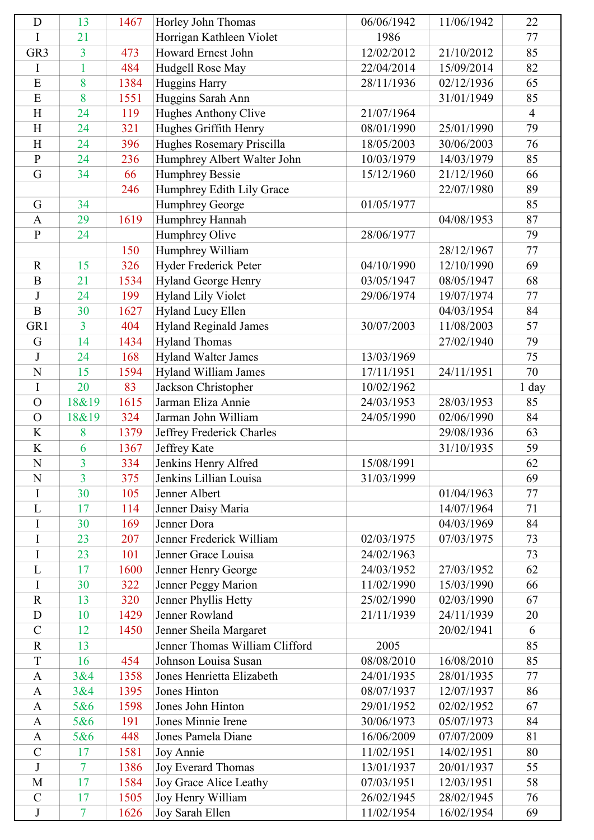| D               | 13             | 1467 | Horley John Thomas             | 06/06/1942 | 11/06/1942 | 22             |
|-----------------|----------------|------|--------------------------------|------------|------------|----------------|
| I               | 21             |      | Horrigan Kathleen Violet       | 1986       |            | 77             |
| GR <sub>3</sub> | 3              | 473  | <b>Howard Ernest John</b>      | 12/02/2012 | 21/10/2012 | 85             |
| I               | $\mathbf{1}$   | 484  | Hudgell Rose May               | 22/04/2014 | 15/09/2014 | 82             |
| E               | 8              | 1384 | Huggins Harry                  | 28/11/1936 | 02/12/1936 | 65             |
| E               | 8              | 1551 | Huggins Sarah Ann              |            | 31/01/1949 | 85             |
| H               | 24             | 119  | Hughes Anthony Clive           | 21/07/1964 |            | $\overline{4}$ |
| H               | 24             | 321  | Hughes Griffith Henry          | 08/01/1990 | 25/01/1990 | 79             |
| H               | 24             | 396  | Hughes Rosemary Priscilla      | 18/05/2003 | 30/06/2003 | 76             |
| ${\bf P}$       | 24             | 236  | Humphrey Albert Walter John    | 10/03/1979 | 14/03/1979 | 85             |
| G               | 34             | 66   | <b>Humphrey Bessie</b>         | 15/12/1960 | 21/12/1960 | 66             |
|                 |                | 246  | Humphrey Edith Lily Grace      |            | 22/07/1980 | 89             |
| G               | 34             |      | <b>Humphrey George</b>         | 01/05/1977 |            | 85             |
| $\mathbf{A}$    | 29             | 1619 | Humphrey Hannah                |            | 04/08/1953 | 87             |
| $\mathbf{P}$    | 24             |      | Humphrey Olive                 | 28/06/1977 |            | 79             |
|                 |                | 150  | Humphrey William               |            | 28/12/1967 | 77             |
| $\mathbf R$     | 15             | 326  | Hyder Frederick Peter          | 04/10/1990 | 12/10/1990 | 69             |
| $\mathbf B$     | 21             | 1534 | Hyland George Henry            | 03/05/1947 | 08/05/1947 | 68             |
| J               | 24             | 199  | <b>Hyland Lily Violet</b>      | 29/06/1974 | 19/07/1974 | 77             |
| $\mathbf B$     | 30             | 1627 | Hyland Lucy Ellen              |            | 04/03/1954 | 84             |
| GR1             | 3              | 404  | <b>Hyland Reginald James</b>   | 30/07/2003 | 11/08/2003 | 57             |
| G               | 14             | 1434 | <b>Hyland Thomas</b>           |            | 27/02/1940 | 79             |
| J               | 24             | 168  | <b>Hyland Walter James</b>     | 13/03/1969 |            | 75             |
| $\mathbf N$     | 15             | 1594 | Hyland William James           | 17/11/1951 | 24/11/1951 | 70             |
| I               | 20             | 83   | Jackson Christopher            | 10/02/1962 |            | 1 day          |
| $\mathbf O$     | 18&19          | 1615 | Jarman Eliza Annie             | 24/03/1953 | 28/03/1953 | 85             |
| $\Omega$        | 18&19          | 324  | Jarman John William            | 24/05/1990 | 02/06/1990 | 84             |
| K               | 8              | 1379 | Jeffrey Frederick Charles      |            | 29/08/1936 | 63             |
| $\rm K$         | 6              | 1367 | Jeffrey Kate                   |            | 31/10/1935 | 59             |
| ${\bf N}$       | $\overline{3}$ | 334  | Jenkins Henry Alfred           | 15/08/1991 |            | 62             |
| N               | $\overline{3}$ | 375  | Jenkins Lillian Louisa         | 31/03/1999 |            | 69             |
| I               | 30             | 105  | Jenner Albert                  |            | 01/04/1963 | 77             |
| L               | 17             | 114  | Jenner Daisy Maria             |            | 14/07/1964 | 71             |
| I               | 30             | 169  | Jenner Dora                    |            | 04/03/1969 | 84             |
| I               | 23             | 207  | Jenner Frederick William       | 02/03/1975 | 07/03/1975 | 73             |
| I               | 23             | 101  | Jenner Grace Louisa            | 24/02/1963 |            | 73             |
| L               | 17             | 1600 | Jenner Henry George            | 24/03/1952 | 27/03/1952 | 62             |
| $\mathbf I$     | 30             | 322  | Jenner Peggy Marion            | 11/02/1990 | 15/03/1990 | 66             |
| $\mathbf R$     | 13             | 320  | Jenner Phyllis Hetty           | 25/02/1990 | 02/03/1990 | 67             |
| D               | 10             | 1429 | Jenner Rowland                 | 21/11/1939 | 24/11/1939 | 20             |
| $\overline{C}$  | 12             | 1450 | Jenner Sheila Margaret         |            | 20/02/1941 | 6              |
| $\mathbf R$     | 13             |      | Jenner Thomas William Clifford | 2005       |            | 85             |
| T               | 16             | 454  | Johnson Louisa Susan           | 08/08/2010 | 16/08/2010 | 85             |
| $\mathbf{A}$    | 3&4            | 1358 | Jones Henrietta Elizabeth      | 24/01/1935 | 28/01/1935 | 77             |
| $\mathbf{A}$    | 3&4            | 1395 | Jones Hinton                   | 08/07/1937 | 12/07/1937 | 86             |
| $\mathbf{A}$    | 5&6            | 1598 | Jones John Hinton              | 29/01/1952 | 02/02/1952 | 67             |
| $\mathbf{A}$    | 5&6            | 191  | Jones Minnie Irene             | 30/06/1973 | 05/07/1973 | 84             |
| $\mathbf{A}$    | 5&6            | 448  | Jones Pamela Diane             | 16/06/2009 | 07/07/2009 | 81             |
| $\mathcal{C}$   | 17             | 1581 | Joy Annie                      | 11/02/1951 | 14/02/1951 | 80             |
| $\mathbf{J}$    | 7              | 1386 | Joy Everard Thomas             | 13/01/1937 | 20/01/1937 | 55             |
| M               | 17             | 1584 | Joy Grace Alice Leathy         | 07/03/1951 | 12/03/1951 | 58             |
| $\mathcal{C}$   | 17             | 1505 | Joy Henry William              | 26/02/1945 | 28/02/1945 | 76             |
| J               | $\overline{7}$ | 1626 | Joy Sarah Ellen                | 11/02/1954 | 16/02/1954 | 69             |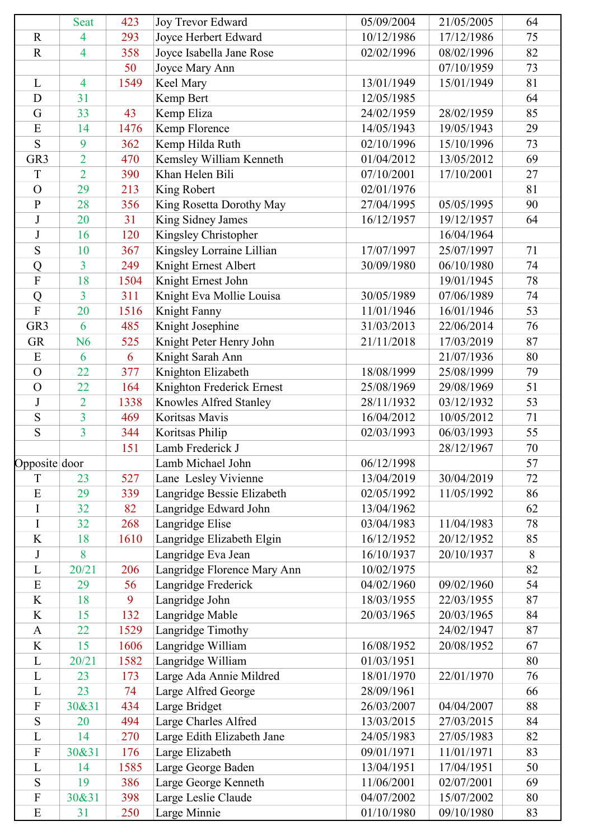|                 | <b>Seat</b>    | 423  | Joy Trevor Edward           | 05/09/2004 | 21/05/2005 | 64 |
|-----------------|----------------|------|-----------------------------|------------|------------|----|
| $\mathbf R$     | 4              | 293  | Joyce Herbert Edward        | 10/12/1986 | 17/12/1986 | 75 |
| $\mathbf R$     | $\overline{4}$ | 358  | Joyce Isabella Jane Rose    | 02/02/1996 | 08/02/1996 | 82 |
|                 |                | 50   | Joyce Mary Ann              |            | 07/10/1959 | 73 |
| L               | $\overline{4}$ | 1549 | Keel Mary                   | 13/01/1949 | 15/01/1949 | 81 |
| $\mathbf D$     | 31             |      | Kemp Bert                   | 12/05/1985 |            | 64 |
| G               | 33             | 43   | Kemp Eliza                  | 24/02/1959 | 28/02/1959 | 85 |
| E               | 14             | 1476 | Kemp Florence               | 14/05/1943 | 19/05/1943 | 29 |
| S               | 9              | 362  | Kemp Hilda Ruth             | 02/10/1996 | 15/10/1996 | 73 |
| GR <sub>3</sub> | $\overline{2}$ | 470  | Kemsley William Kenneth     | 01/04/2012 | 13/05/2012 | 69 |
| T               | $\overline{2}$ | 390  | Khan Helen Bili             | 07/10/2001 | 17/10/2001 | 27 |
| $\mathcal{O}$   | 29             | 213  | King Robert                 | 02/01/1976 |            | 81 |
| $\mathbf{P}$    | 28             | 356  | King Rosetta Dorothy May    | 27/04/1995 | 05/05/1995 | 90 |
| $\bf J$         | 20             | 31   | King Sidney James           | 16/12/1957 | 19/12/1957 | 64 |
| J               | 16             | 120  | Kingsley Christopher        |            | 16/04/1964 |    |
| S               | 10             | 367  | Kingsley Lorraine Lillian   | 17/07/1997 | 25/07/1997 | 71 |
| Q               | 3              | 249  | Knight Ernest Albert        | 30/09/1980 | 06/10/1980 | 74 |
| $\mathbf F$     | 18             | 1504 | Knight Ernest John          |            | 19/01/1945 | 78 |
| Q               | 3              | 311  | Knight Eva Mollie Louisa    | 30/05/1989 | 07/06/1989 | 74 |
| $\overline{F}$  | 20             | 1516 | Knight Fanny                | 11/01/1946 | 16/01/1946 | 53 |
| GR <sub>3</sub> | 6              | 485  | Knight Josephine            | 31/03/2013 | 22/06/2014 | 76 |
| <b>GR</b>       | N <sub>6</sub> | 525  | Knight Peter Henry John     | 21/11/2018 | 17/03/2019 | 87 |
| E               | 6              | 6    | Knight Sarah Ann            |            | 21/07/1936 | 80 |
| $\overline{O}$  | 22             | 377  | Knighton Elizabeth          | 18/08/1999 | 25/08/1999 | 79 |
| $\Omega$        | 22             | 164  | Knighton Frederick Ernest   | 25/08/1969 | 29/08/1969 | 51 |
| J               | $\overline{2}$ | 1338 | Knowles Alfred Stanley      | 28/11/1932 | 03/12/1932 | 53 |
| S               | $\overline{3}$ | 469  | Koritsas Mavis              | 16/04/2012 | 10/05/2012 | 71 |
| S               | $\overline{3}$ | 344  | Koritsas Philip             | 02/03/1993 | 06/03/1993 | 55 |
|                 |                | 151  | Lamb Frederick J            |            | 28/12/1967 | 70 |
| Opposite door   |                |      | Lamb Michael John           | 06/12/1998 |            | 57 |
| T               | 23             | 527  |                             | 13/04/2019 | 30/04/2019 | 72 |
|                 |                |      | Lane Lesley Vivienne        |            |            |    |
| E               | 29             | 339  | Langridge Bessie Elizabeth  | 02/05/1992 | 11/05/1992 | 86 |
| I               | 32             | 82   | Langridge Edward John       | 13/04/1962 |            | 62 |
| I               | 32             | 268  | Langridge Elise             | 03/04/1983 | 11/04/1983 | 78 |
| K               | 18             | 1610 | Langridge Elizabeth Elgin   | 16/12/1952 | 20/12/1952 | 85 |
| J               | 8              |      | Langridge Eva Jean          | 16/10/1937 | 20/10/1937 | 8  |
| L               | 20/21          | 206  | Langridge Florence Mary Ann | 10/02/1975 |            | 82 |
| E               | 29             | 56   | Langridge Frederick         | 04/02/1960 | 09/02/1960 | 54 |
| K               | 18             | 9    | Langridge John              | 18/03/1955 | 22/03/1955 | 87 |
| K               | 15             | 132  | Langridge Mable             | 20/03/1965 | 20/03/1965 | 84 |
| $\mathbf{A}$    | 22             | 1529 | Langridge Timothy           |            | 24/02/1947 | 87 |
| K               | 15             | 1606 | Langridge William           | 16/08/1952 | 20/08/1952 | 67 |
| L               | 20/21          | 1582 | Langridge William           | 01/03/1951 |            | 80 |
| L               | 23             | 173  | Large Ada Annie Mildred     | 18/01/1970 | 22/01/1970 | 76 |
| L               | 23             | 74   | Large Alfred George         | 28/09/1961 |            | 66 |
| ${\bf F}$       | 30&31          | 434  | Large Bridget               | 26/03/2007 | 04/04/2007 | 88 |
| S               | 20             | 494  | Large Charles Alfred        | 13/03/2015 | 27/03/2015 | 84 |
| L               | 14             | 270  | Large Edith Elizabeth Jane  | 24/05/1983 | 27/05/1983 | 82 |
| ${\bf F}$       | 30&31          | 176  | Large Elizabeth             | 09/01/1971 | 11/01/1971 | 83 |
| L               | 14             | 1585 | Large George Baden          | 13/04/1951 | 17/04/1951 | 50 |
| S               | 19             | 386  | Large George Kenneth        | 11/06/2001 | 02/07/2001 | 69 |
| ${\bf F}$       | 30&31          | 398  | Large Leslie Claude         | 04/07/2002 | 15/07/2002 | 80 |
| E               | 31             | 250  | Large Minnie                | 01/10/1980 | 09/10/1980 | 83 |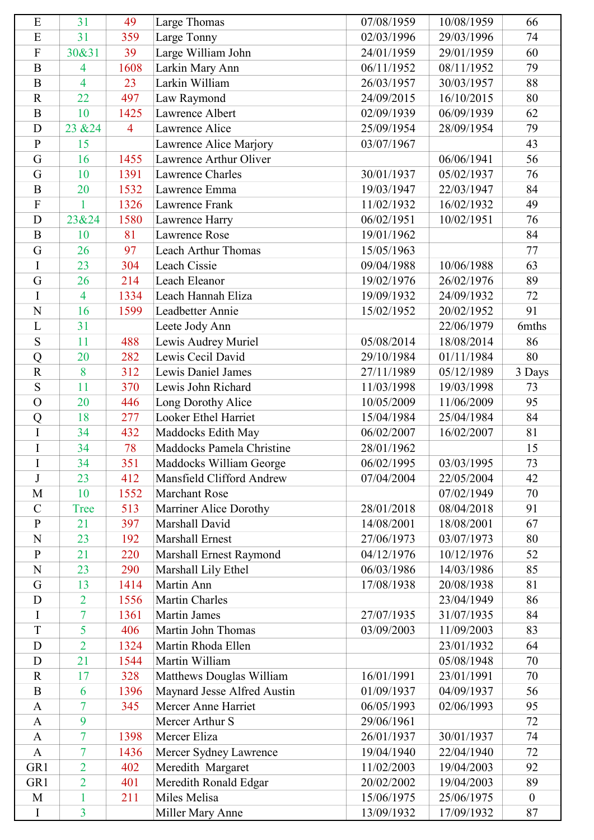| E                | 31                               | 49             | Large Thomas                      | 07/08/1959 | 10/08/1959 | 66               |
|------------------|----------------------------------|----------------|-----------------------------------|------------|------------|------------------|
| E                | 31                               | 359            | Large Tonny                       | 02/03/1996 | 29/03/1996 | 74               |
| $\overline{F}$   | 30&31                            | 39             | Large William John                | 24/01/1959 | 29/01/1959 | 60               |
| $\overline{B}$   | 4                                | 1608           | Larkin Mary Ann                   | 06/11/1952 | 08/11/1952 | 79               |
| $\mathbf B$      | $\overline{4}$                   | 23             | Larkin William                    | 26/03/1957 | 30/03/1957 | 88               |
| $\mathbf R$      | 22                               | 497            | Law Raymond                       | 24/09/2015 | 16/10/2015 | 80               |
| $\mathbf B$      | 10                               | 1425           | Lawrence Albert                   | 02/09/1939 | 06/09/1939 | 62               |
| D                | 23 & 24                          | $\overline{4}$ | Lawrence Alice                    | 25/09/1954 | 28/09/1954 | 79               |
| $\mathbf{P}$     | 15                               |                | Lawrence Alice Marjory            | 03/07/1967 |            | 43               |
| G                | 16                               | 1455           | Lawrence Arthur Oliver            |            | 06/06/1941 | 56               |
| G                | 10                               | 1391           | Lawrence Charles                  | 30/01/1937 | 05/02/1937 | 76               |
| $\bf{B}$         | 20                               | 1532           | Lawrence Emma                     | 19/03/1947 | 22/03/1947 | 84               |
| $\overline{F}$   | $\mathbf{1}$                     | 1326           | Lawrence Frank                    | 11/02/1932 | 16/02/1932 | 49               |
| D                | 23&24                            | 1580           | Lawrence Harry                    | 06/02/1951 | 10/02/1951 | 76               |
| $\bf{B}$         | 10                               | 81             | Lawrence Rose                     | 19/01/1962 |            | 84               |
| G                | 26                               | 97             | Leach Arthur Thomas               | 15/05/1963 |            | 77               |
| $\rm I$          | 23                               | 304            | Leach Cissie                      | 09/04/1988 | 10/06/1988 | 63               |
| G                | 26                               | 214            | Leach Eleanor                     | 19/02/1976 | 26/02/1976 | 89               |
| I                | $\overline{4}$                   | 1334           | Leach Hannah Eliza                | 19/09/1932 | 24/09/1932 | 72               |
| N                | 16                               | 1599           | Leadbetter Annie                  | 15/02/1952 | 20/02/1952 | 91               |
| L                | 31                               |                | Leete Jody Ann                    |            | 22/06/1979 | 6mths            |
| S                | 11                               | 488            | Lewis Audrey Muriel               | 05/08/2014 | 18/08/2014 | 86               |
| Q                | 20                               | 282            | Lewis Cecil David                 | 29/10/1984 | 01/11/1984 | 80               |
| $\mathbf R$      | 8                                | 312            | Lewis Daniel James                | 27/11/1989 | 05/12/1989 | 3 Days           |
| S                | 11                               | 370            | Lewis John Richard                | 11/03/1998 | 19/03/1998 | 73               |
| $\overline{O}$   | 20                               | 446            | Long Dorothy Alice                | 10/05/2009 | 11/06/2009 | 95               |
| Q                | 18                               | 277            | <b>Looker Ethel Harriet</b>       | 15/04/1984 | 25/04/1984 | 84               |
| $\rm I$          | 34                               | 432            | Maddocks Edith May                | 06/02/2007 | 16/02/2007 | 81               |
| $\rm I$          | 34                               | 78             | Maddocks Pamela Christine         | 28/01/1962 |            | 15               |
| $\bf I$          | 34                               | 351            | Maddocks William George           | 06/02/1995 | 03/03/1995 | 73               |
| J                | 23                               | 412            | Mansfield Clifford Andrew         | 07/04/2004 | 22/05/2004 | 42               |
| M                | 10                               | 1552           | <b>Marchant Rose</b>              |            | 07/02/1949 | 70               |
| $\mathbf C$      | <b>Tree</b>                      | 513            | Marriner Alice Dorothy            | 28/01/2018 | 08/04/2018 | 91               |
| $\overline{P}$   | 21                               | 397            | Marshall David                    | 14/08/2001 | 18/08/2001 | 67               |
| N                | 23                               | 192            | <b>Marshall Ernest</b>            | 27/06/1973 | 03/07/1973 | 80               |
| $\mathbf{P}$     | 21                               | 220            | Marshall Ernest Raymond           | 04/12/1976 | 10/12/1976 | 52               |
| N                | 23                               | 290            |                                   | 06/03/1986 | 14/03/1986 | 85               |
| G                | 13                               | 1414           | Marshall Lily Ethel<br>Martin Ann | 17/08/1938 | 20/08/1938 | 81               |
| D                |                                  | 1556           | <b>Martin Charles</b>             |            | 23/04/1949 | 86               |
| I                | $\overline{2}$<br>$\overline{7}$ | 1361           | <b>Martin James</b>               | 27/07/1935 | 31/07/1935 | 84               |
| T                | 5                                | 406            | Martin John Thomas                | 03/09/2003 | 11/09/2003 | 83               |
| D                | $\overline{2}$                   | 1324           | Martin Rhoda Ellen                |            | 23/01/1932 | 64               |
|                  |                                  |                |                                   |            |            |                  |
| D                | 21<br>17                         | 1544           | Martin William                    |            | 05/08/1948 | 70               |
| $\mathbf R$      |                                  | 328            | Matthews Douglas William          | 16/01/1991 | 23/01/1991 | 70               |
| $\boldsymbol{B}$ | 6                                | 1396           | Maynard Jesse Alfred Austin       | 01/09/1937 | 04/09/1937 | 56               |
| $\mathbf{A}$     | 7                                | 345            | Mercer Anne Harriet               | 06/05/1993 | 02/06/1993 | 95               |
| A                | 9                                |                | Mercer Arthur S                   | 29/06/1961 |            | 72               |
| $\mathbf{A}$     | $\overline{7}$                   | 1398           | Mercer Eliza                      | 26/01/1937 | 30/01/1937 | 74               |
| $\mathbf{A}$     | $\overline{7}$                   | 1436           | Mercer Sydney Lawrence            | 19/04/1940 | 22/04/1940 | 72               |
| GR1              | $\overline{2}$                   | 402            | Meredith Margaret                 | 11/02/2003 | 19/04/2003 | 92               |
| GR1              | $\overline{2}$                   | 401            | Meredith Ronald Edgar             | 20/02/2002 | 19/04/2003 | 89               |
| M                | 1                                | 211            | Miles Melisa                      | 15/06/1975 | 25/06/1975 | $\boldsymbol{0}$ |
| $\rm I$          | $\overline{3}$                   |                | Miller Mary Anne                  | 13/09/1932 | 17/09/1932 | 87               |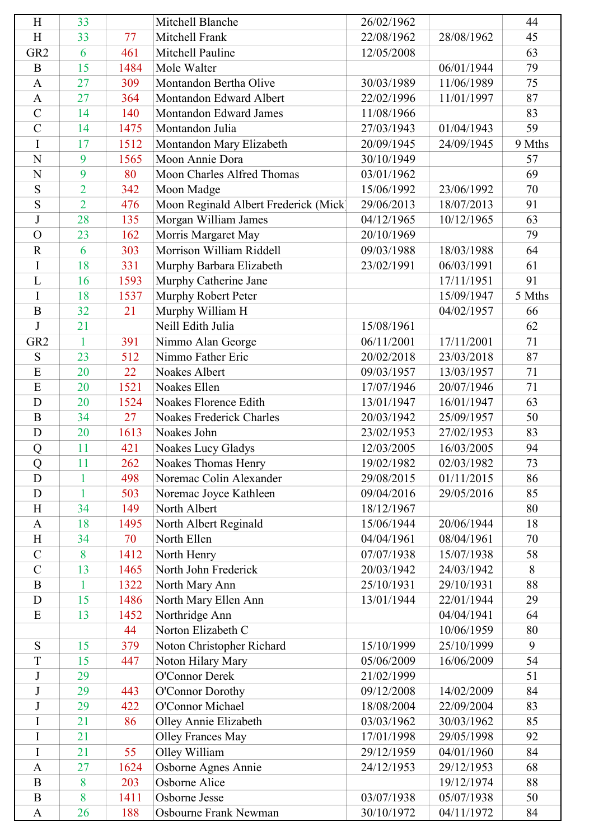| H               | 33             |      | Mitchell Blanche                      | 26/02/1962 |            | 44     |
|-----------------|----------------|------|---------------------------------------|------------|------------|--------|
| H               | 33             | 77   | Mitchell Frank                        | 22/08/1962 | 28/08/1962 | 45     |
| GR <sub>2</sub> | 6              | 461  | Mitchell Pauline                      | 12/05/2008 |            | 63     |
| $\bf{B}$        | 15             | 1484 | Mole Walter                           |            | 06/01/1944 | 79     |
| $\mathbf{A}$    | 27             | 309  | Montandon Bertha Olive                | 30/03/1989 | 11/06/1989 | 75     |
| $\mathbf{A}$    | 27             | 364  | Montandon Edward Albert               | 22/02/1996 | 11/01/1997 | 87     |
| $\mathcal{C}$   | 14             | 140  | Montandon Edward James                | 11/08/1966 |            | 83     |
| $\mathcal{C}$   | 14             | 1475 | Montandon Julia                       | 27/03/1943 | 01/04/1943 | 59     |
| I               | 17             | 1512 | Montandon Mary Elizabeth              | 20/09/1945 | 24/09/1945 | 9 Mths |
| N               | 9              | 1565 | Moon Annie Dora                       | 30/10/1949 |            | 57     |
| $\mathbf N$     | 9              | 80   | Moon Charles Alfred Thomas            | 03/01/1962 |            | 69     |
| S               | $\overline{2}$ | 342  | Moon Madge                            | 15/06/1992 | 23/06/1992 | 70     |
| S               | $\overline{2}$ | 476  | Moon Reginald Albert Frederick (Mick) | 29/06/2013 | 18/07/2013 | 91     |
| $\bf J$         | 28             | 135  | Morgan William James                  | 04/12/1965 | 10/12/1965 | 63     |
| $\overline{O}$  | 23             | 162  | Morris Margaret May                   | 20/10/1969 |            | 79     |
| $\mathbf R$     | 6              | 303  | Morrison William Riddell              | 09/03/1988 | 18/03/1988 | 64     |
| I               | 18             | 331  | Murphy Barbara Elizabeth              | 23/02/1991 | 06/03/1991 | 61     |
| L               | 16             | 1593 | Murphy Catherine Jane                 |            | 17/11/1951 | 91     |
| I               | 18             | 1537 | Murphy Robert Peter                   |            | 15/09/1947 | 5 Mths |
| $\overline{B}$  | 32             | 21   | Murphy William H                      |            | 04/02/1957 | 66     |
| J               | 21             |      | Neill Edith Julia                     | 15/08/1961 |            | 62     |
| GR <sub>2</sub> | $\mathbf{1}$   | 391  | Nimmo Alan George                     | 06/11/2001 | 17/11/2001 | 71     |
| ${\bf S}$       | 23             | 512  | Nimmo Father Eric                     | 20/02/2018 | 23/03/2018 | 87     |
| E               | 20             | 22   | Noakes Albert                         | 09/03/1957 | 13/03/1957 | 71     |
| E               | 20             | 1521 | Noakes Ellen                          | 17/07/1946 | 20/07/1946 | 71     |
| D               | 20             | 1524 | Noakes Florence Edith                 | 13/01/1947 | 16/01/1947 | 63     |
| B               | 34             | 27   | Noakes Frederick Charles              | 20/03/1942 | 25/09/1957 | 50     |
| D               | 20             | 1613 | Noakes John                           | 23/02/1953 | 27/02/1953 | 83     |
| Q               | 11             | 421  | Noakes Lucy Gladys                    | 12/03/2005 | 16/03/2005 | 94     |
| Q               | 11             | 262  | Noakes Thomas Henry                   | 19/02/1982 | 02/03/1982 | 73     |
| D               | 1              | 498  | Noremac Colin Alexander               | 29/08/2015 | 01/11/2015 | 86     |
| D               | 1              | 503  | Noremac Joyce Kathleen                | 09/04/2016 | 29/05/2016 | 85     |
| H               | 34             | 149  | North Albert                          | 18/12/1967 |            | 80     |
| $\mathbf{A}$    | 18             | 1495 | North Albert Reginald                 | 15/06/1944 | 20/06/1944 | 18     |
| H               | 34             | 70   | North Ellen                           | 04/04/1961 | 08/04/1961 | 70     |
| $\mathbf C$     | 8              | 1412 | North Henry                           | 07/07/1938 | 15/07/1938 | 58     |
| $\overline{C}$  | 13             | 1465 | North John Frederick                  | 20/03/1942 | 24/03/1942 | 8      |
| $\bf{B}$        | 1              | 1322 | North Mary Ann                        | 25/10/1931 | 29/10/1931 | 88     |
| D               | 15             | 1486 | North Mary Ellen Ann                  | 13/01/1944 | 22/01/1944 | 29     |
| E               | 13             | 1452 | Northridge Ann                        |            | 04/04/1941 | 64     |
|                 |                | 44   | Norton Elizabeth C                    |            | 10/06/1959 | 80     |
| S               | 15             | 379  | Noton Christopher Richard             | 15/10/1999 | 25/10/1999 | 9      |
| T               | 15             | 447  | Noton Hilary Mary                     | 05/06/2009 | 16/06/2009 | 54     |
| J               | 29             |      | O'Connor Derek                        | 21/02/1999 |            | 51     |
| $\bf J$         | 29             | 443  | O'Connor Dorothy                      | 09/12/2008 | 14/02/2009 | 84     |
| J               | 29             | 422  | O'Connor Michael                      | 18/08/2004 | 22/09/2004 | 83     |
| I               | 21             | 86   | Olley Annie Elizabeth                 | 03/03/1962 | 30/03/1962 | 85     |
| I               | 21             |      | <b>Olley Frances May</b>              | 17/01/1998 | 29/05/1998 | 92     |
| I               | 21             | 55   | Olley William                         | 29/12/1959 | 04/01/1960 | 84     |
| $\mathbf{A}$    | 27             | 1624 | Osborne Agnes Annie                   | 24/12/1953 | 29/12/1953 | 68     |
| $\bf{B}$        | 8              | 203  | Osborne Alice                         |            | 19/12/1974 | 88     |
| $\bf{B}$        | 8              | 1411 | Osborne Jesse                         | 03/07/1938 | 05/07/1938 | 50     |
| $\mathbf{A}$    | 26             | 188  | Osbourne Frank Newman                 | 30/10/1972 | 04/11/1972 | 84     |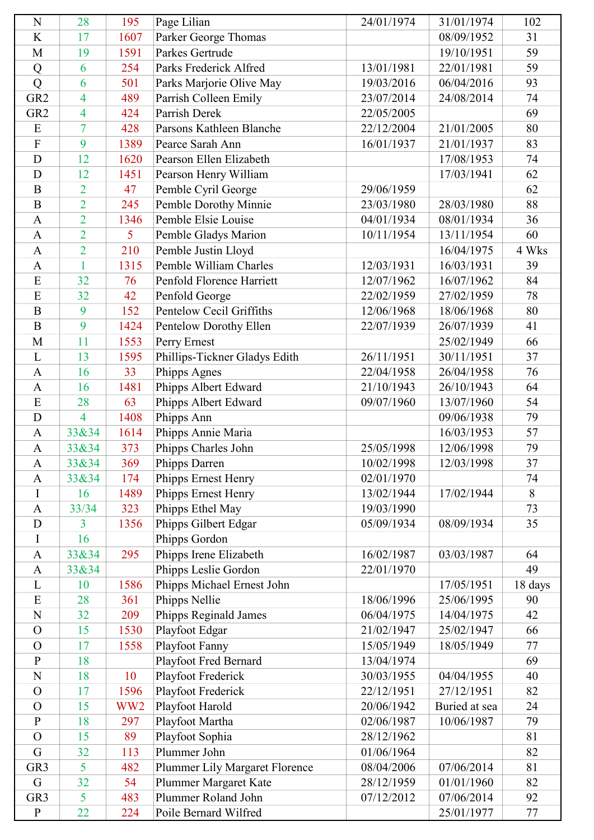| $\mathbf N$     | 28             | 195             | Page Lilian                    | 24/01/1974 | 31/01/1974    | 102     |
|-----------------|----------------|-----------------|--------------------------------|------------|---------------|---------|
| K               | 17             | 1607            | Parker George Thomas           |            | 08/09/1952    | 31      |
| M               | 19             | 1591            | Parkes Gertrude                |            | 19/10/1951    | 59      |
| Q               | 6              | 254             | Parks Frederick Alfred         | 13/01/1981 | 22/01/1981    | 59      |
| Q               | 6              | 501             | Parks Marjorie Olive May       | 19/03/2016 | 06/04/2016    | 93      |
| GR <sub>2</sub> | 4              | 489             | Parrish Colleen Emily          | 23/07/2014 | 24/08/2014    | 74      |
| GR <sub>2</sub> | 4              | 424             | Parrish Derek                  | 22/05/2005 |               | 69      |
| E               | 7              | 428             | Parsons Kathleen Blanche       | 22/12/2004 | 21/01/2005    | 80      |
| $\overline{F}$  | 9              | 1389            | Pearce Sarah Ann               | 16/01/1937 | 21/01/1937    | 83      |
| D               | 12             | 1620            | Pearson Ellen Elizabeth        |            | 17/08/1953    | 74      |
| D               | 12             | 1451            | Pearson Henry William          |            | 17/03/1941    | 62      |
| B               | 2              | 47              | Pemble Cyril George            | 29/06/1959 |               | 62      |
| $\bf{B}$        | $\overline{2}$ | 245             | Pemble Dorothy Minnie          | 23/03/1980 | 28/03/1980    | 88      |
| $\mathbf{A}$    | $\overline{2}$ | 1346            | Pemble Elsie Louise            | 04/01/1934 | 08/01/1934    | 36      |
| $\mathbf{A}$    | $\overline{2}$ | 5               | Pemble Gladys Marion           | 10/11/1954 | 13/11/1954    | 60      |
| $\mathbf{A}$    | $\overline{2}$ | 210             | Pemble Justin Lloyd            |            | 16/04/1975    | 4 Wks   |
| $\mathbf{A}$    | 1              | 1315            | Pemble William Charles         | 12/03/1931 | 16/03/1931    | 39      |
| E               | 32             | 76              | Penfold Florence Harriett      | 12/07/1962 | 16/07/1962    | 84      |
| E               | 32             | 42              | Penfold George                 | 22/02/1959 | 27/02/1959    | 78      |
| $\overline{B}$  | 9              | 152             | Pentelow Cecil Griffiths       | 12/06/1968 | 18/06/1968    | 80      |
| $\mathbf B$     | 9              | 1424            | Pentelow Dorothy Ellen         | 22/07/1939 | 26/07/1939    | 41      |
| M               | 11             | 1553            | Perry Ernest                   |            | 25/02/1949    | 66      |
| L               | 13             | 1595            | Phillips-Tickner Gladys Edith  | 26/11/1951 | 30/11/1951    | 37      |
| $\mathbf{A}$    | 16             | 33              | Phipps Agnes                   | 22/04/1958 | 26/04/1958    | 76      |
| $\mathbf{A}$    | 16             | 1481            | Phipps Albert Edward           | 21/10/1943 | 26/10/1943    | 64      |
| E               | 28             | 63              | Phipps Albert Edward           | 09/07/1960 | 13/07/1960    | 54      |
| D               | $\overline{4}$ | 1408            | Phipps Ann                     |            | 09/06/1938    | 79      |
| $\mathbf{A}$    | 33&34          | 1614            | Phipps Annie Maria             |            | 16/03/1953    | 57      |
| $\mathbf{A}$    | 33&34          | 373             | Phipps Charles John            | 25/05/1998 | 12/06/1998    | 79      |
| A               | 33&34          | 369             | Phipps Darren                  | 10/02/1998 | 12/03/1998    | 37      |
| $\mathbf{A}$    | 33&34          | 174             | Phipps Ernest Henry            | 02/01/1970 |               | 74      |
| I               | 16             | 1489            | Phipps Ernest Henry            | 13/02/1944 | 17/02/1944    | 8       |
| $\mathbf{A}$    | 33/34          | 323             | Phipps Ethel May               | 19/03/1990 |               | 73      |
| D               | 3              | 1356            | Phipps Gilbert Edgar           | 05/09/1934 | 08/09/1934    | 35      |
| I               | 16             |                 | Phipps Gordon                  |            |               |         |
| $\mathbf{A}$    | 33&34          | 295             | Phipps Irene Elizabeth         | 16/02/1987 | 03/03/1987    | 64      |
| $\mathbf{A}$    | 33&34          |                 | Phipps Leslie Gordon           | 22/01/1970 |               | 49      |
| L               | 10             | 1586            | Phipps Michael Ernest John     |            | 17/05/1951    | 18 days |
| E               | 28             | 361             | Phipps Nellie                  | 18/06/1996 | 25/06/1995    | 90      |
| $\mathbf N$     | 32             | 209             | Phipps Reginald James          | 06/04/1975 | 14/04/1975    | 42      |
| $\Omega$        | 15             | 1530            | Playfoot Edgar                 | 21/02/1947 | 25/02/1947    | 66      |
| $\Omega$        | 17             | 1558            | Playfoot Fanny                 | 15/05/1949 | 18/05/1949    | 77      |
| $\mathbf{P}$    | 18             |                 | Playfoot Fred Bernard          | 13/04/1974 |               | 69      |
| N               | 18             | 10              | Playfoot Frederick             | 30/03/1955 | 04/04/1955    | 40      |
| $\Omega$        | 17             | 1596            | Playfoot Frederick             | 22/12/1951 | 27/12/1951    | 82      |
| $\mathbf O$     | 15             | WW <sub>2</sub> | Playfoot Harold                | 20/06/1942 | Buried at sea | 24      |
| ${\bf P}$       | 18             | 297             | Playfoot Martha                | 02/06/1987 | 10/06/1987    | 79      |
| $\overline{O}$  | 15             | 89              | Playfoot Sophia                | 28/12/1962 |               | 81      |
| G               | 32             | 113             | Plummer John                   | 01/06/1964 |               | 82      |
| GR <sub>3</sub> | 5              | 482             | Plummer Lily Margaret Florence | 08/04/2006 | 07/06/2014    | 81      |
| G               | 32             | 54              | Plummer Margaret Kate          | 28/12/1959 | 01/01/1960    | 82      |
| GR <sub>3</sub> | 5              | 483             | Plummer Roland John            | 07/12/2012 | 07/06/2014    | 92      |
| ${\bf P}$       | 22             | 224             | Poile Bernard Wilfred          |            | 25/01/1977    | $77 \,$ |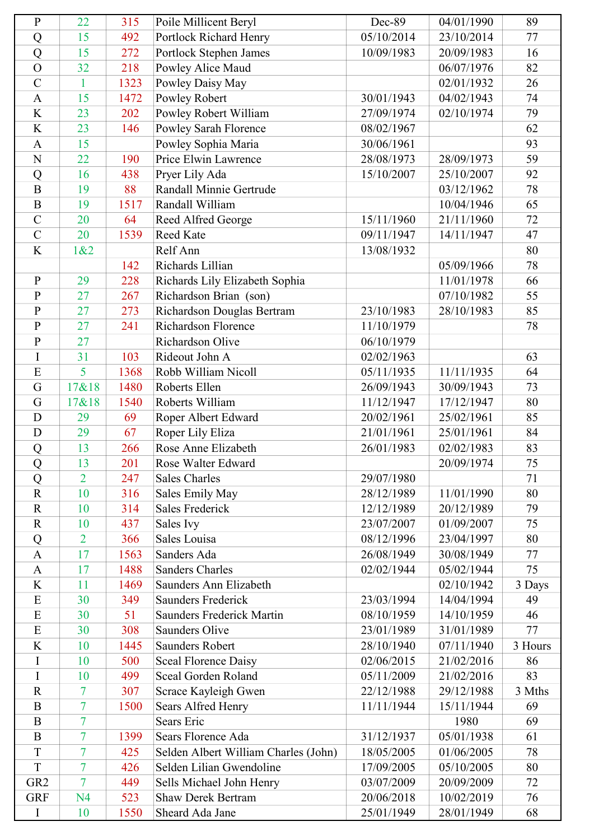| $\mathbf{P}$    | 22             | 315  | Poile Millicent Beryl                                            | Dec-89     | 04/01/1990 | 89      |
|-----------------|----------------|------|------------------------------------------------------------------|------------|------------|---------|
| Q               | 15             | 492  | Portlock Richard Henry                                           | 05/10/2014 | 23/10/2014 | 77      |
| Q               | 15             | 272  | Portlock Stephen James                                           | 10/09/1983 | 20/09/1983 | 16      |
| $\overline{O}$  | 32             | 218  | Powley Alice Maud                                                |            | 06/07/1976 | 82      |
| $\overline{C}$  | $\mathbf{1}$   | 1323 | Powley Daisy May                                                 |            | 02/01/1932 | 26      |
| $\mathbf{A}$    | 15             | 1472 | Powley Robert                                                    | 30/01/1943 | 04/02/1943 | 74      |
| K               | 23             | 202  | Powley Robert William                                            | 27/09/1974 | 02/10/1974 | 79      |
| K               | 23             | 146  | Powley Sarah Florence                                            | 08/02/1967 |            | 62      |
| $\mathbf{A}$    | 15             |      | Powley Sophia Maria                                              | 30/06/1961 |            | 93      |
| ${\bf N}$       | 22             | 190  | Price Elwin Lawrence                                             | 28/08/1973 | 28/09/1973 | 59      |
| Q               | 16             | 438  | Pryer Lily Ada                                                   | 15/10/2007 | 25/10/2007 | 92      |
| $\overline{B}$  | 19             | 88   | Randall Minnie Gertrude                                          |            | 03/12/1962 | 78      |
| $\overline{B}$  | 19             | 1517 | Randall William                                                  |            | 10/04/1946 | 65      |
| $\mathcal{C}$   | 20             | 64   | Reed Alfred George                                               | 15/11/1960 | 21/11/1960 | 72      |
| $\mathcal{C}$   | 20             | 1539 | Reed Kate                                                        | 09/11/1947 | 14/11/1947 | 47      |
| K               | 1&2            |      | Relf Ann                                                         | 13/08/1932 |            | 80      |
|                 |                | 142  | Richards Lillian                                                 |            | 05/09/1966 | 78      |
| $\mathbf{P}$    | 29             | 228  | Richards Lily Elizabeth Sophia                                   |            | 11/01/1978 | 66      |
| $\mathbf{P}$    | 27             | 267  | Richardson Brian (son)                                           |            | 07/10/1982 | 55      |
| $\overline{P}$  | 27             | 273  | Richardson Douglas Bertram                                       | 23/10/1983 | 28/10/1983 | 85      |
| $\overline{P}$  | 27             | 241  | <b>Richardson Florence</b>                                       | 11/10/1979 |            | 78      |
| $\overline{P}$  | 27             |      | Richardson Olive                                                 | 06/10/1979 |            |         |
| I               | 31             | 103  | Rideout John A                                                   | 02/02/1963 |            | 63      |
| E               | 5              | 1368 | Robb William Nicoll                                              | 05/11/1935 | 11/11/1935 | 64      |
| G               | 17&18          | 1480 | Roberts Ellen                                                    | 26/09/1943 | 30/09/1943 | 73      |
| G               | 17&18          | 1540 | Roberts William                                                  | 11/12/1947 | 17/12/1947 | 80      |
| D               | 29             | 69   | Roper Albert Edward                                              | 20/02/1961 | 25/02/1961 | 85      |
| D               | 29             | 67   | Roper Lily Eliza                                                 | 21/01/1961 | 25/01/1961 | 84      |
| Q               | 13             | 266  | Rose Anne Elizabeth                                              | 26/01/1983 | 02/02/1983 | 83      |
| Q               | 13             | 201  | Rose Walter Edward                                               |            | 20/09/1974 | 75      |
| Q               | $\overline{2}$ | 247  | <b>Sales Charles</b>                                             | 29/07/1980 |            | 71      |
| $\mathbf R$     | 10             | 316  | Sales Emily May                                                  | 28/12/1989 | 11/01/1990 | 80      |
| $\mathbf R$     | 10             | 314  | <b>Sales Frederick</b>                                           | 12/12/1989 | 20/12/1989 | 79      |
| $\mathbf R$     | 10             | 437  | Sales Ivy                                                        | 23/07/2007 | 01/09/2007 | 75      |
| Q               | $\overline{2}$ | 366  | Sales Louisa                                                     | 08/12/1996 | 23/04/1997 | 80      |
| $\mathbf{A}$    | 17             | 1563 | Sanders Ada                                                      | 26/08/1949 | 30/08/1949 | 77      |
| $\mathbf{A}$    | 17             | 1488 | <b>Sanders Charles</b>                                           | 02/02/1944 | 05/02/1944 | 75      |
| K               | 11             | 1469 | Saunders Ann Elizabeth                                           |            | 02/10/1942 | 3 Days  |
| E               | 30             | 349  | <b>Saunders Frederick</b>                                        | 23/03/1994 | 14/04/1994 | 49      |
| E               | 30             | 51   | Saunders Frederick Martin                                        | 08/10/1959 | 14/10/1959 | 46      |
| E               | 30             | 308  | Saunders Olive                                                   | 23/01/1989 | 31/01/1989 | 77      |
| K               | 10             | 1445 | Saunders Robert                                                  | 28/10/1940 | 07/11/1940 | 3 Hours |
| I               | 10             | 500  | <b>Sceal Florence Daisy</b>                                      | 02/06/2015 | 21/02/2016 | 86      |
| I               | 10             | 499  | Sceal Gorden Roland                                              | 05/11/2009 | 21/02/2016 | 83      |
| $\mathbf R$     | 7              | 307  | Scrace Kayleigh Gwen                                             | 22/12/1988 | 29/12/1988 | 3 Mths  |
| $\overline{B}$  | $\overline{7}$ | 1500 | Sears Alfred Henry                                               | 11/11/1944 | 15/11/1944 | 69      |
| $\bf{B}$        | $\overline{7}$ |      | <b>Sears Eric</b>                                                |            | 1980       | 69      |
| $\overline{B}$  | $\overline{7}$ | 1399 | Sears Florence Ada                                               | 31/12/1937 | 05/01/1938 | 61      |
| T               | 7              | 425  |                                                                  | 18/05/2005 | 01/06/2005 | 78      |
| T               | $\overline{7}$ | 426  | Selden Albert William Charles (John)<br>Selden Lilian Gwendoline | 17/09/2005 | 05/10/2005 | 80      |
| GR <sub>2</sub> | $\overline{7}$ | 449  |                                                                  |            |            | 72      |
|                 |                |      | Sells Michael John Henry<br><b>Shaw Derek Bertram</b>            | 03/07/2009 | 20/09/2009 |         |
| <b>GRF</b>      | N <sub>4</sub> | 523  |                                                                  | 20/06/2018 | 10/02/2019 | 76      |
| I               | 10             | 1550 | Sheard Ada Jane                                                  | 25/01/1949 | 28/01/1949 | 68      |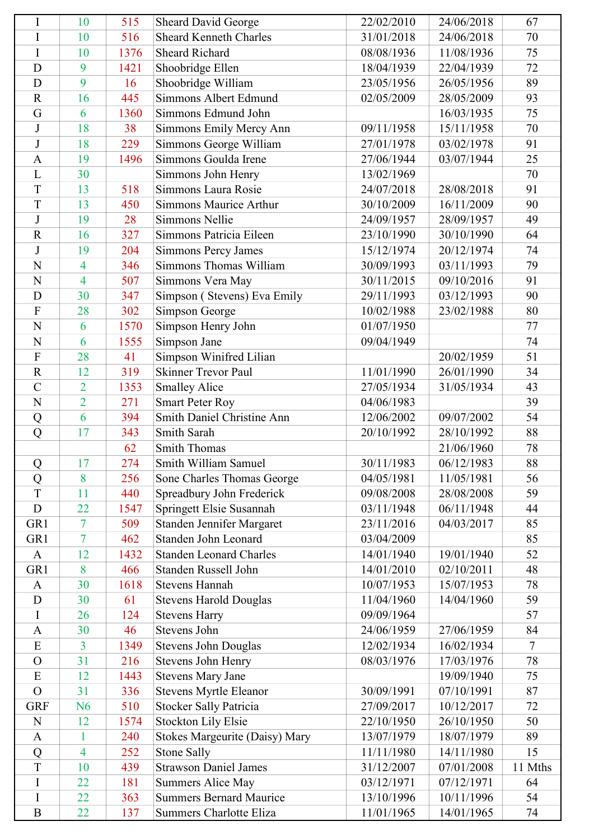| I              | 10             | 515  | <b>Sheard David George</b>     | 22/02/2010 | 24/06/2018 | 67             |
|----------------|----------------|------|--------------------------------|------------|------------|----------------|
| I              | 10             | 516  | <b>Sheard Kenneth Charles</b>  | 31/01/2018 | 24/06/2018 | 70             |
| $\mathbf I$    | 10             | 1376 | <b>Sheard Richard</b>          | 08/08/1936 | 11/08/1936 | 75             |
| D              | 9              | 1421 | Shoobridge Ellen               | 18/04/1939 | 22/04/1939 | 72             |
| D              | 9              | 16   | Shoobridge William             | 23/05/1956 | 26/05/1956 | 89             |
| $\mathbf R$    | 16             | 445  | Simmons Albert Edmund          | 02/05/2009 | 28/05/2009 | 93             |
| G              | 6              | 1360 | Simmons Edmund John            |            | 16/03/1935 | 75             |
| J              | 18             | 38   | Simmons Emily Mercy Ann        | 09/11/1958 | 15/11/1958 | 70             |
| $\mathbf{J}$   | 18             | 229  | Simmons George William         | 27/01/1978 | 03/02/1978 | 91             |
| $\mathbf{A}$   | 19             | 1496 | Simmons Goulda Irene           | 27/06/1944 | 03/07/1944 | 25             |
| L              | 30             |      | Simmons John Henry             | 13/02/1969 |            | 70             |
| T              | 13             | 518  | Simmons Laura Rosie            | 24/07/2018 | 28/08/2018 | 91             |
| T              | 13             | 450  | <b>Simmons Maurice Arthur</b>  | 30/10/2009 | 16/11/2009 | 90             |
| $\mathbf J$    | 19             | 28   | Simmons Nellie                 | 24/09/1957 | 28/09/1957 | 49             |
| $\overline{R}$ | 16             | 327  | Simmons Patricia Eileen        | 23/10/1990 | 30/10/1990 | 64             |
| J              | 19             | 204  | Simmons Percy James            | 15/12/1974 | 20/12/1974 | 74             |
| N              | $\overline{4}$ | 346  | Simmons Thomas William         | 30/09/1993 | 03/11/1993 | 79             |
| N              | $\overline{4}$ | 507  | Simmons Vera May               | 30/11/2015 | 09/10/2016 | 91             |
| D              | 30             | 347  | Simpson (Stevens) Eva Emily    | 29/11/1993 | 03/12/1993 | 90             |
| $\overline{F}$ | 28             | 302  | Simpson George                 | 10/02/1988 | 23/02/1988 | 80             |
| N              | 6              | 1570 | Simpson Henry John             | 01/07/1950 |            | 77             |
| $\overline{N}$ | 6              | 1555 | Simpson Jane                   | 09/04/1949 |            | 74             |
| $\mathbf{F}$   | 28             | 41   | Simpson Winifred Lilian        |            | 20/02/1959 | 51             |
| $\overline{R}$ | 12             | 319  | <b>Skinner Trevor Paul</b>     | 11/01/1990 | 26/01/1990 | 34             |
| $\overline{C}$ | $\overline{2}$ | 1353 | <b>Smalley Alice</b>           | 27/05/1934 | 31/05/1934 | 43             |
| N              | $\overline{2}$ | 271  | <b>Smart Peter Roy</b>         | 04/06/1983 |            | 39             |
| Q              | 6              | 394  | Smith Daniel Christine Ann     | 12/06/2002 | 09/07/2002 | 54             |
| $\overline{Q}$ | 17             | 343  | Smith Sarah                    | 20/10/1992 | 28/10/1992 | 88             |
|                |                | 62   | <b>Smith Thomas</b>            |            | 21/06/1960 | 78             |
| Q              | 17             | 274  | Smith William Samuel           | 30/11/1983 | 06/12/1983 | 88             |
| Q              | 8              | 256  | Sone Charles Thomas George     | 04/05/1981 | 11/05/1981 | 56             |
| T              | 11             | 440  | Spreadbury John Frederick      | 09/08/2008 | 28/08/2008 | 59             |
| $\mathbf D$    | 22             | 1547 | Springett Elsie Susannah       | 03/11/1948 | 06/11/1948 | 44             |
| GR1            | 7              | 509  | Standen Jennifer Margaret      | 23/11/2016 | 04/03/2017 | 85             |
| GR1            | $\overline{7}$ | 462  | Standen John Leonard           | 03/04/2009 |            | 85             |
| $\mathbf{A}$   | 12             | 1432 | <b>Standen Leonard Charles</b> | 14/01/1940 | 19/01/1940 | 52             |
| GR1            | 8              | 466  | Standen Russell John           | 14/01/2010 | 02/10/2011 | 48             |
| $\mathbf{A}$   | 30             | 1618 | <b>Stevens Hannah</b>          | 10/07/1953 | 15/07/1953 | 78             |
| D              | 30             | 61   | <b>Stevens Harold Douglas</b>  | 11/04/1960 | 14/04/1960 | 59             |
| I              | 26             | 124  | <b>Stevens Harry</b>           | 09/09/1964 |            | 57             |
| $\mathbf{A}$   | 30             | 46   | Stevens John                   | 24/06/1959 | 27/06/1959 | 84             |
| E              | $\overline{3}$ | 1349 | <b>Stevens John Douglas</b>    | 12/02/1934 | 16/02/1934 | $\overline{7}$ |
| $\Omega$       | 31             | 216  | Stevens John Henry             | 08/03/1976 | 17/03/1976 | 78             |
| E              | 12             | 1443 | <b>Stevens Mary Jane</b>       |            | 19/09/1940 | 75             |
| $\mathcal{O}$  | 31             | 336  | Stevens Myrtle Eleanor         | 30/09/1991 | 07/10/1991 | 87             |
| <b>GRF</b>     | N <sub>6</sub> | 510  | <b>Stocker Sally Patricia</b>  | 27/09/2017 | 10/12/2017 | 72             |
| N              | 12             | 1574 | Stockton Lily Elsie            | 22/10/1950 | 26/10/1950 | 50             |
| $\mathbf{A}$   | 1              | 240  | Stokes Margeurite (Daisy) Mary | 13/07/1979 | 18/07/1979 | 89             |
| Q              | $\overline{4}$ | 252  | <b>Stone Sally</b>             | 11/11/1980 | 14/11/1980 | 15             |
| T              | 10             | 439  | <b>Strawson Daniel James</b>   | 31/12/2007 | 07/01/2008 | 11 Mths        |
| I              | 22             | 181  | Summers Alice May              | 03/12/1971 | 07/12/1971 | 64             |
| I              | 22             | 363  | <b>Summers Bernard Maurice</b> | 13/10/1996 | 10/11/1996 | 54             |
| $\overline{B}$ | 22             | 137  | Summers Charlotte Eliza        | 11/01/1965 | 14/01/1965 | 74             |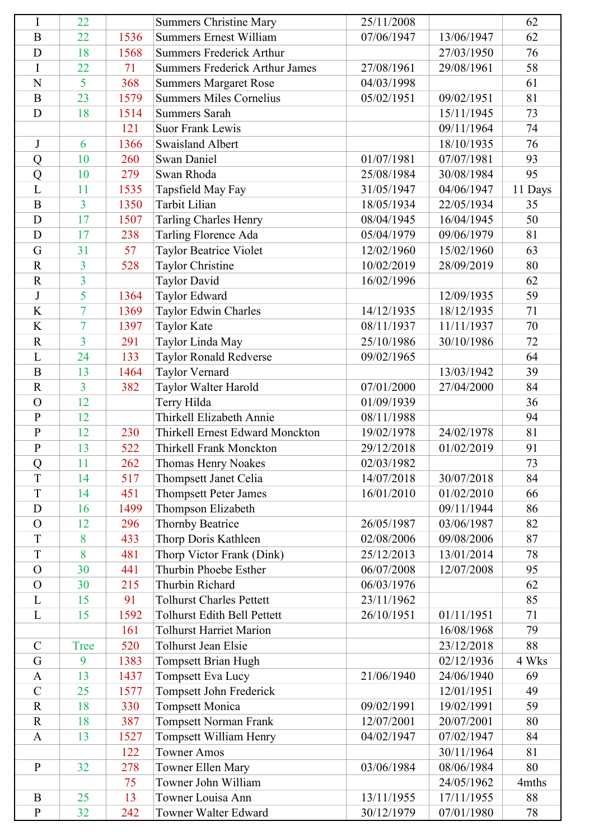| I                | 22             |      | <b>Summers Christine Mary</b>         | 25/11/2008 |            | 62      |
|------------------|----------------|------|---------------------------------------|------------|------------|---------|
| $\boldsymbol{B}$ | 22             | 1536 | <b>Summers Ernest William</b>         | 07/06/1947 | 13/06/1947 | 62      |
| D                | 18             | 1568 | <b>Summers Frederick Arthur</b>       |            | 27/03/1950 | 76      |
| I                | 22             | 71   | <b>Summers Frederick Arthur James</b> | 27/08/1961 | 29/08/1961 | 58      |
| N                | 5              | 368  | <b>Summers Margaret Rose</b>          | 04/03/1998 |            | 61      |
| $\bf{B}$         | 23             | 1579 | <b>Summers Miles Cornelius</b>        | 05/02/1951 | 09/02/1951 | 81      |
| D                | 18             | 1514 | <b>Summers Sarah</b>                  |            | 15/11/1945 | 73      |
|                  |                | 121  | <b>Suor Frank Lewis</b>               |            | 09/11/1964 | 74      |
| $\bf J$          | 6              | 1366 | <b>Swaisland Albert</b>               |            | 18/10/1935 | 76      |
| Q                | 10             | 260  | <b>Swan Daniel</b>                    | 01/07/1981 | 07/07/1981 | 93      |
| Q                | 10             | 279  | Swan Rhoda                            | 25/08/1984 | 30/08/1984 | 95      |
| L                | 11             | 1535 | Tapsfield May Fay                     | 31/05/1947 | 04/06/1947 | 11 Days |
| $\overline{B}$   | $\overline{3}$ | 1350 | Tarbit Lilian                         | 18/05/1934 | 22/05/1934 | 35      |
| D                | 17             | 1507 | Tarling Charles Henry                 | 08/04/1945 | 16/04/1945 | 50      |
| D                | 17             | 238  | Tarling Florence Ada                  | 05/04/1979 | 09/06/1979 | 81      |
| G                | 31             | 57   | Taylor Beatrice Violet                | 12/02/1960 | 15/02/1960 | 63      |
| $\mathbf R$      | 3              | 528  | Taylor Christine                      | 10/02/2019 | 28/09/2019 | 80      |
| $\mathbf R$      | $\overline{3}$ |      | <b>Taylor David</b>                   | 16/02/1996 |            | 62      |
| J                | 5              | 1364 | Taylor Edward                         |            | 12/09/1935 | 59      |
| $\bf K$          | $\overline{7}$ | 1369 | Taylor Edwin Charles                  | 14/12/1935 | 18/12/1935 | 71      |
| K                | $\overline{7}$ | 1397 | <b>Taylor Kate</b>                    | 08/11/1937 | 11/11/1937 | 70      |
| $\overline{R}$   | $\overline{3}$ | 291  | Taylor Linda May                      | 25/10/1986 | 30/10/1986 | 72      |
| L                | 24             | 133  | Taylor Ronald Redverse                | 09/02/1965 |            | 64      |
| $\overline{B}$   | 13             | 1464 | Taylor Vernard                        |            | 13/03/1942 | 39      |
| $\mathbf R$      | $\overline{3}$ | 382  | Taylor Walter Harold                  | 07/01/2000 | 27/04/2000 | 84      |
| $\Omega$         | 12             |      | Terry Hilda                           | 01/09/1939 |            | 36      |
| $\mathbf{P}$     | 12             |      | Thirkell Elizabeth Annie              | 08/11/1988 |            | 94      |
| $\overline{P}$   | 12             | 230  | Thirkell Ernest Edward Monckton       | 19/02/1978 | 24/02/1978 | 81      |
| $\mathbf P$      | 13             | 522  | Thirkell Frank Monckton               | 29/12/2018 | 01/02/2019 | 91      |
| Q                | 11             | 262  | Thomas Henry Noakes                   | 02/03/1982 |            | 73      |
| T                | 14             | 517  | Thompsett Janet Celia                 | 14/07/2018 | 30/07/2018 | 84      |
| T                | 14             | 451  | <b>Thompsett Peter James</b>          | 16/01/2010 | 01/02/2010 | 66      |
| D                | 16             | 1499 | Thompson Elizabeth                    |            | 09/11/1944 | 86      |
| $\mathbf O$      | 12             | 296  | <b>Thornby Beatrice</b>               | 26/05/1987 | 03/06/1987 | 82      |
| T                | 8              | 433  | Thorp Doris Kathleen                  | 02/08/2006 | 09/08/2006 | 87      |
| T                | 8              | 481  | Thorp Victor Frank (Dink)             | 25/12/2013 | 13/01/2014 | 78      |
| $\mathbf{O}$     | 30             | 441  | Thurbin Phoebe Esther                 | 06/07/2008 | 12/07/2008 | 95      |
| $\mathbf{O}$     | 30             | 215  | Thurbin Richard                       | 06/03/1976 |            | 62      |
| L                | 15             | 91   | <b>Tolhurst Charles Pettett</b>       | 23/11/1962 |            | 85      |
| L                | 15             | 1592 | Tolhurst Edith Bell Pettett           | 26/10/1951 | 01/11/1951 | 71      |
|                  |                | 161  | <b>Tolhurst Harriet Marion</b>        |            | 16/08/1968 | 79      |
| $\mathbf C$      | <b>Tree</b>    | 520  | Tolhurst Jean Elsie                   |            | 23/12/2018 | 88      |
| G                | 9              | 1383 | Tompsett Brian Hugh                   |            | 02/12/1936 | 4 Wks   |
| $\mathbf{A}$     | 13             | 1437 | Tompsett Eva Lucy                     | 21/06/1940 | 24/06/1940 | 69      |
| $\mathbf C$      | 25             | 1577 | Tompsett John Frederick               |            | 12/01/1951 | 49      |
| $\mathbf R$      | 18             | 330  | <b>Tompsett Monica</b>                | 09/02/1991 | 19/02/1991 | 59      |
| $\mathbf R$      | 18             | 387  | Tompsett Norman Frank                 | 12/07/2001 | 20/07/2001 | 80      |
| $\mathbf{A}$     | 13             | 1527 | Tompsett William Henry                | 04/02/1947 | 07/02/1947 | 84      |
|                  |                | 122  | <b>Towner Amos</b>                    |            | 30/11/1964 | 81      |
| $\mathbf{P}$     | 32             | 278  | Towner Ellen Mary                     | 03/06/1984 | 08/06/1984 | 80      |
|                  |                | 75   | Towner John William                   |            | 24/05/1962 | 4mths   |
| $\bf{B}$         | 25             | 13   | Towner Louisa Ann                     | 13/11/1955 | 17/11/1955 | 88      |
| $\mathbf{P}$     | 32             | 242  | Towner Walter Edward                  | 30/12/1979 | 07/01/1980 | 78      |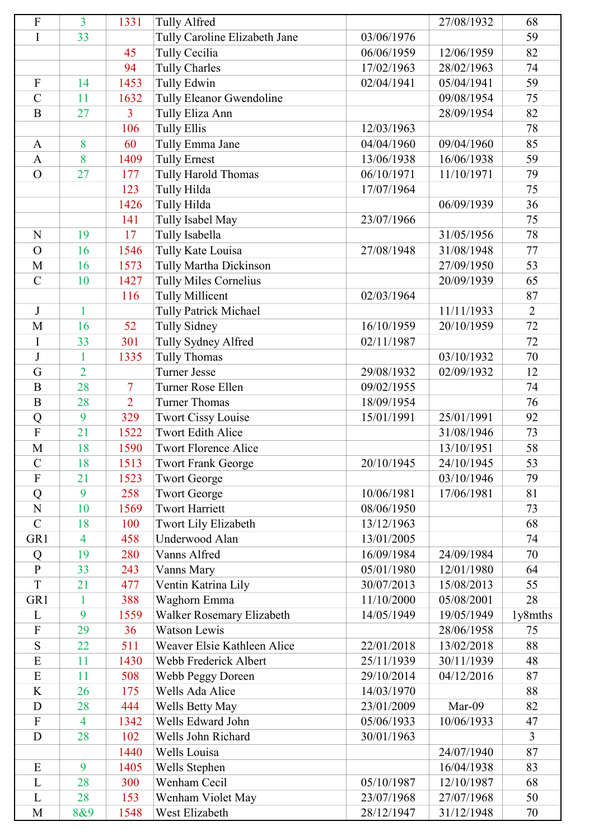| ${\bf F}$                 | $\overline{3}$ | 1331           | <b>Tully Alfred</b>                                   |                          | 27/08/1932               | 68             |
|---------------------------|----------------|----------------|-------------------------------------------------------|--------------------------|--------------------------|----------------|
| I                         | 33             |                | Tully Caroline Elizabeth Jane                         | 03/06/1976               |                          | 59             |
|                           |                | 45             | Tully Cecilia                                         | 06/06/1959               | 12/06/1959               | 82             |
|                           |                | 94             | <b>Tully Charles</b>                                  | 17/02/1963               | 28/02/1963               | 74             |
| $\boldsymbol{\mathrm{F}}$ | 14             | 1453           | Tully Edwin                                           | 02/04/1941               | 05/04/1941               | 59             |
| $\overline{C}$            | 11             | 1632           | Tully Eleanor Gwendoline                              |                          | 09/08/1954               | 75             |
| $\mathbf B$               | 27             | $\overline{3}$ | Tully Eliza Ann                                       |                          | 28/09/1954               | 82             |
|                           |                | 106            | <b>Tully Ellis</b>                                    | 12/03/1963               |                          | 78             |
| $\mathbf{A}$              | 8              | 60             | Tully Emma Jane                                       | 04/04/1960               | 09/04/1960               | 85             |
| $\mathbf{A}$              | 8              | 1409           | <b>Tully Ernest</b>                                   | 13/06/1938               | 16/06/1938               | 59             |
| $\overline{O}$            | 27             | 177            | Tully Harold Thomas                                   | 06/10/1971               | 11/10/1971               | 79             |
|                           |                | 123            | Tully Hilda                                           | 17/07/1964               |                          | 75             |
|                           |                | 1426           | Tully Hilda                                           |                          | 06/09/1939               | 36             |
|                           |                | 141            | Tully Isabel May                                      | 23/07/1966               |                          | 75             |
| N                         | 19             | 17             | Tully Isabella                                        |                          | 31/05/1956               | 78             |
| $\overline{O}$            | 16             | 1546           | Tully Kate Louisa                                     | 27/08/1948               | 31/08/1948               | 77             |
| M                         | 16             | 1573           | Tully Martha Dickinson                                |                          | 27/09/1950               | 53             |
| $\overline{C}$            | 10             | 1427           | Tully Miles Cornelius                                 |                          | 20/09/1939               | 65             |
|                           |                | 116            | <b>Tully Millicent</b>                                | 02/03/1964               |                          | 87             |
| $\bf J$                   | $\mathbf{1}$   |                | <b>Tully Patrick Michael</b>                          |                          | 11/11/1933               | $\overline{2}$ |
| M                         | 16             | 52             | <b>Tully Sidney</b>                                   | 16/10/1959               | 20/10/1959               | 72             |
| I                         | 33             | 301            | Tully Sydney Alfred                                   | 02/11/1987               |                          | 72             |
| $\bf J$                   | 1              | 1335           | <b>Tully Thomas</b>                                   |                          | 03/10/1932               | 70             |
| G                         | $\overline{2}$ |                | <b>Turner Jesse</b>                                   | 29/08/1932               | 02/09/1932               | 12             |
| $\mathbf{B}$              | 28             | 7              | Turner Rose Ellen                                     | 09/02/1955               |                          | 74             |
| $\overline{B}$            | 28             | $\overline{2}$ | <b>Turner Thomas</b>                                  | 18/09/1954               |                          | 76             |
|                           | 9              | 329            |                                                       | 15/01/1991               | 25/01/1991               | 92             |
| Q<br>$\overline{F}$       | 21             | 1522           | <b>Twort Cissy Louise</b><br><b>Twort Edith Alice</b> |                          | 31/08/1946               | 73             |
| $\mathbf M$               | 18             | 1590           | <b>Twort Florence Alice</b>                           |                          | 13/10/1951               | 58             |
| $\mathcal{C}$             | 18             | 1513           | <b>Twort Frank George</b>                             | 20/10/1945               | 24/10/1945               | 53             |
| F                         | 21             | 1523           | <b>Twort George</b>                                   |                          | 03/10/1946               | 79             |
| Q                         | 9              | 258            | <b>Twort George</b>                                   | 10/06/1981               | 17/06/1981               | 81             |
| N                         | 10             | 1569           | <b>Twort Harriett</b>                                 | 08/06/1950               |                          | 73             |
| $\mathcal{C}$             | 18             | 100            | Twort Lily Elizabeth                                  | 13/12/1963               |                          | 68             |
| GR1                       | $\overline{4}$ | 458            | Underwood Alan                                        | 13/01/2005               |                          | 74             |
|                           | 19             | 280            | Vanns Alfred                                          | 16/09/1984               | 24/09/1984               | 70             |
| Q<br>$\mathbf{P}$         | 33             |                |                                                       | 05/01/1980               | 12/01/1980               | 64             |
| T                         | 21             | 243<br>477     | Vanns Mary                                            | 30/07/2013               | 15/08/2013               | 55             |
|                           |                |                | Ventin Katrina Lily                                   |                          |                          | 28             |
| GR1                       | $\mathbf{1}$   | 388            | Waghorn Emma                                          | 11/10/2000               | 05/08/2001               |                |
| L<br>$\mathbf F$          | 9<br>29        | 1559           | Walker Rosemary Elizabeth                             | 14/05/1949               | 19/05/1949               | 1y8mths        |
| S                         | 22             | 36             | <b>Watson Lewis</b><br>Weaver Elsie Kathleen Alice    |                          | 28/06/1958<br>13/02/2018 | 75<br>88       |
| E                         |                | 511            |                                                       | 22/01/2018               |                          |                |
| E                         | 11<br>11       | 1430<br>508    | Webb Frederick Albert<br>Webb Peggy Doreen            | 25/11/1939<br>29/10/2014 | 30/11/1939<br>04/12/2016 | 48<br>87       |
| K                         | 26             | 175            | Wells Ada Alice                                       | 14/03/1970               |                          | 88             |
| D                         | 28             | 444            |                                                       | 23/01/2009               | Mar-09                   | 82             |
| $\boldsymbol{\mathrm{F}}$ | $\overline{4}$ | 1342           | Wells Betty May<br>Wells Edward John                  | 05/06/1933               | 10/06/1933               | 47             |
| D                         | 28             | 102            | Wells John Richard                                    | 30/01/1963               |                          | $\overline{3}$ |
|                           |                | 1440           | Wells Louisa                                          |                          | 24/07/1940               | 87             |
| E                         | 9              | 1405           |                                                       |                          | 16/04/1938               | 83             |
| L                         | 28             | 300            | Wells Stephen<br>Wenham Cecil                         | 05/10/1987               | 12/10/1987               | 68             |
| L                         | 28             |                |                                                       | 23/07/1968               | 27/07/1968               | 50             |
|                           |                | 153            | Wenham Violet May<br>West Elizabeth                   |                          |                          |                |
| M                         | 8&9            | 1548           |                                                       | 28/12/1947               | 31/12/1948               | 70             |